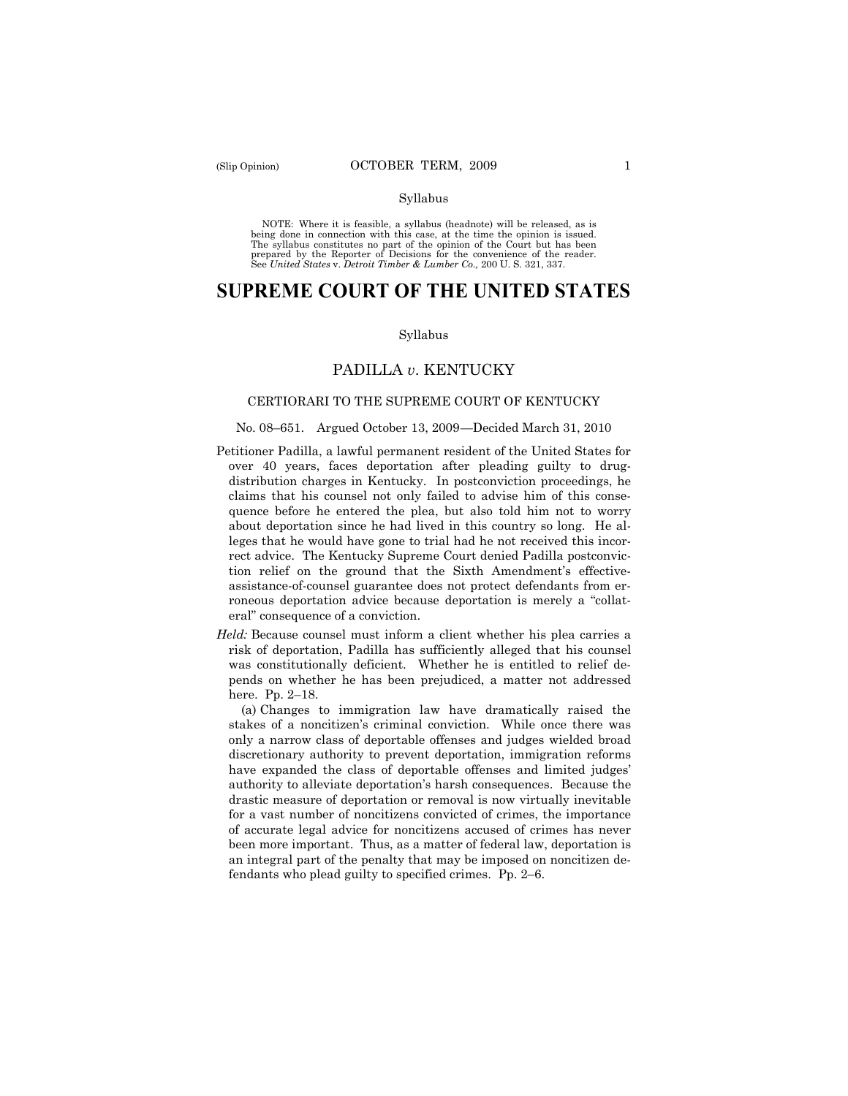#### Syllabus

NOTE: Where it is feasible, a syllabus (headnote) will be released, as is being done in connection with this case, at the time the opinion is issued. The syllabus constitutes no part of the opinion of the Court but has been<br>prepared by the Reporter of Decisions for the convenience of the reader.<br>See United States v. Detroit Timber & Lumber Co., 200 U. S. 321, 337.

# **SUPREME COURT OF THE UNITED STATES**

#### Syllabus

## PADILLA *v*. KENTUCKY

## CERTIORARI TO THE SUPREME COURT OF KENTUCKY

#### No. 08–651. Argued October 13, 2009—Decided March 31, 2010

- Petitioner Padilla, a lawful permanent resident of the United States for over 40 years, faces deportation after pleading guilty to drugdistribution charges in Kentucky. In postconviction proceedings, he claims that his counsel not only failed to advise him of this consequence before he entered the plea, but also told him not to worry about deportation since he had lived in this country so long. He alleges that he would have gone to trial had he not received this incorrect advice. The Kentucky Supreme Court denied Padilla postconviction relief on the ground that the Sixth Amendment's effectiveassistance-of-counsel guarantee does not protect defendants from erroneous deportation advice because deportation is merely a "collateral" consequence of a conviction.
- *Held:* Because counsel must inform a client whether his plea carries a risk of deportation, Padilla has sufficiently alleged that his counsel was constitutionally deficient. Whether he is entitled to relief depends on whether he has been prejudiced, a matter not addressed here. Pp. 2–18.

(a) Changes to immigration law have dramatically raised the stakes of a noncitizen's criminal conviction. While once there was only a narrow class of deportable offenses and judges wielded broad discretionary authority to prevent deportation, immigration reforms have expanded the class of deportable offenses and limited judges' authority to alleviate deportation's harsh consequences. Because the drastic measure of deportation or removal is now virtually inevitable for a vast number of noncitizens convicted of crimes, the importance of accurate legal advice for noncitizens accused of crimes has never been more important. Thus, as a matter of federal law, deportation is an integral part of the penalty that may be imposed on noncitizen defendants who plead guilty to specified crimes. Pp. 2–6.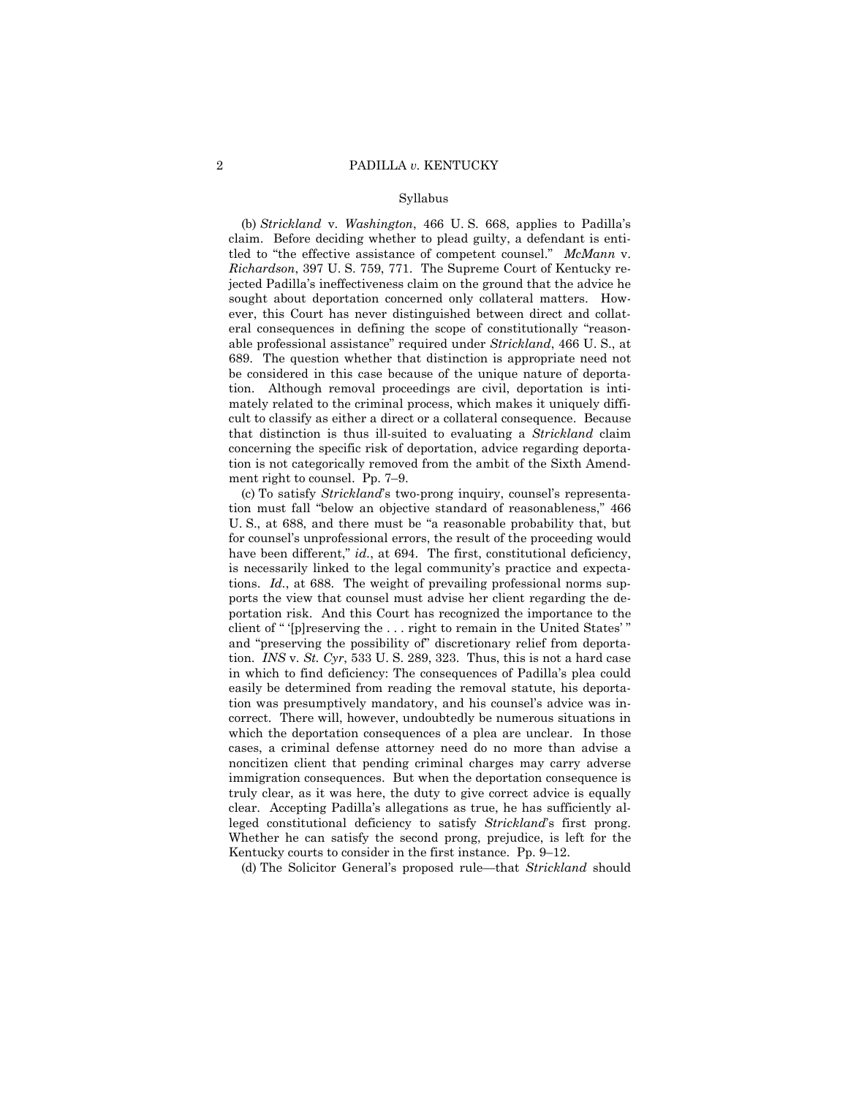#### Syllabus

(b) *Strickland* v. *Washington*, 466 U. S. 668, applies to Padilla's claim. Before deciding whether to plead guilty, a defendant is entitled to "the effective assistance of competent counsel." *McMann* v. *Richardson*, 397 U. S. 759, 771. The Supreme Court of Kentucky rejected Padilla's ineffectiveness claim on the ground that the advice he sought about deportation concerned only collateral matters. However, this Court has never distinguished between direct and collateral consequences in defining the scope of constitutionally "reasonable professional assistance" required under *Strickland*, 466 U. S., at 689. The question whether that distinction is appropriate need not be considered in this case because of the unique nature of deportation. Although removal proceedings are civil, deportation is intimately related to the criminal process, which makes it uniquely difficult to classify as either a direct or a collateral consequence. Because that distinction is thus ill-suited to evaluating a *Strickland* claim concerning the specific risk of deportation, advice regarding deportation is not categorically removed from the ambit of the Sixth Amendment right to counsel. Pp. 7–9.

(c) To satisfy *Strickland*'s two-prong inquiry, counsel's representation must fall "below an objective standard of reasonableness," 466 U. S., at 688, and there must be "a reasonable probability that, but for counsel's unprofessional errors, the result of the proceeding would have been different," *id.*, at 694. The first, constitutional deficiency, is necessarily linked to the legal community's practice and expectations. *Id.*, at 688. The weight of prevailing professional norms supports the view that counsel must advise her client regarding the deportation risk. And this Court has recognized the importance to the client of " '[p]reserving the . . . right to remain in the United States' " and "preserving the possibility of" discretionary relief from deportation. *INS* v. *St. Cyr*, 533 U. S. 289, 323. Thus, this is not a hard case in which to find deficiency: The consequences of Padilla's plea could easily be determined from reading the removal statute, his deportation was presumptively mandatory, and his counsel's advice was incorrect. There will, however, undoubtedly be numerous situations in which the deportation consequences of a plea are unclear. In those cases, a criminal defense attorney need do no more than advise a noncitizen client that pending criminal charges may carry adverse immigration consequences. But when the deportation consequence is truly clear, as it was here, the duty to give correct advice is equally clear. Accepting Padilla's allegations as true, he has sufficiently alleged constitutional deficiency to satisfy *Strickland*'s first prong. Whether he can satisfy the second prong, prejudice, is left for the Kentucky courts to consider in the first instance. Pp. 9–12.

(d) The Solicitor General's proposed rule—that *Strickland* should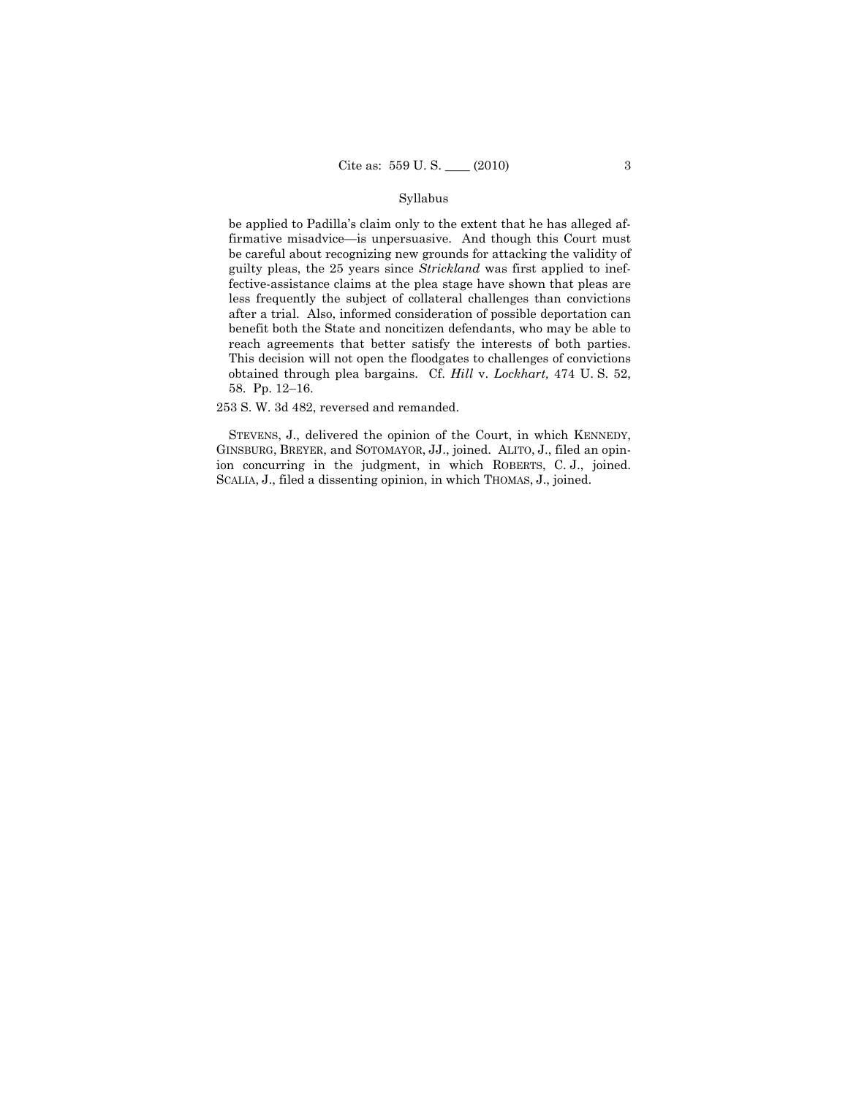#### Syllabus

be applied to Padilla's claim only to the extent that he has alleged affirmative misadvice—is unpersuasive. And though this Court must be careful about recognizing new grounds for attacking the validity of guilty pleas, the 25 years since *Strickland* was first applied to ineffective-assistance claims at the plea stage have shown that pleas are less frequently the subject of collateral challenges than convictions after a trial. Also, informed consideration of possible deportation can benefit both the State and noncitizen defendants, who may be able to reach agreements that better satisfy the interests of both parties. This decision will not open the floodgates to challenges of convictions obtained through plea bargains. Cf. *Hill* v. *Lockhart,* 474 U. S. 52, 58. Pp. 12–16.

253 S. W. 3d 482, reversed and remanded.

STEVENS, J., delivered the opinion of the Court, in which KENNEDY, GINSBURG, BREYER, and SOTOMAYOR, JJ., joined. ALITO, J., filed an opinion concurring in the judgment, in which ROBERTS, C. J., joined. SCALIA, J., filed a dissenting opinion, in which THOMAS, J., joined.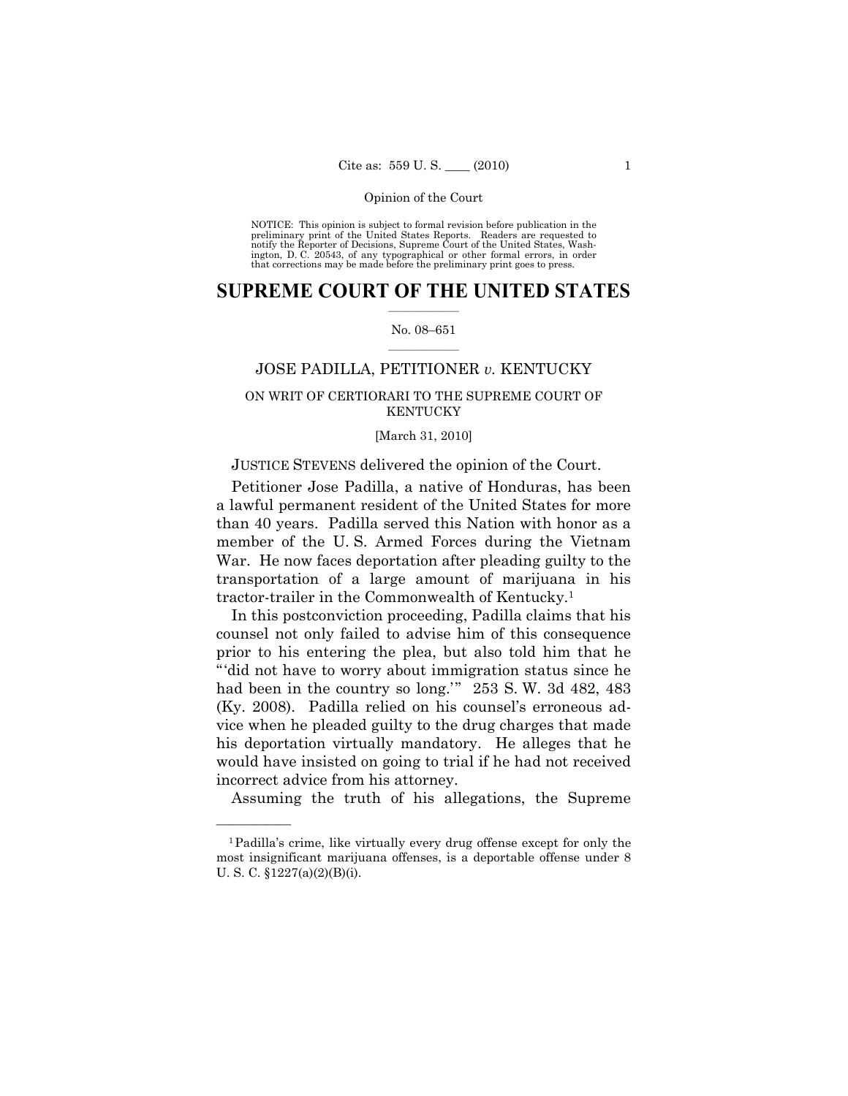NOTICE: This opinion is subject to formal revision before publication in the preliminary print of the United States Reports. Readers are requested to notify the Reporter of Decisions, Supreme Court of the United States, Washington, D. C. 20543, of any typographical or other formal errors, in order that corrections may be made before the preliminary print goes to press.

## $\frac{1}{2}$  , where  $\frac{1}{2}$ **SUPREME COURT OF THE UNITED STATES**

#### $\frac{1}{2}$  ,  $\frac{1}{2}$  ,  $\frac{1}{2}$  ,  $\frac{1}{2}$  ,  $\frac{1}{2}$  ,  $\frac{1}{2}$ No. 08–651

## JOSE PADILLA, PETITIONER *v.* KENTUCKY

## ON WRIT OF CERTIORARI TO THE SUPREME COURT OF KENTUCKY

#### [March 31, 2010]

## JUSTICE STEVENS delivered the opinion of the Court.

Petitioner Jose Padilla, a native of Honduras, has been a lawful permanent resident of the United States for more than 40 years. Padilla served this Nation with honor as a member of the U. S. Armed Forces during the Vietnam War. He now faces deportation after pleading guilty to the transportation of a large amount of marijuana in his tractor-trailer in the Commonwealth of Kentucky.1

In this postconviction proceeding, Padilla claims that his counsel not only failed to advise him of this consequence prior to his entering the plea, but also told him that he "'did not have to worry about immigration status since he had been in the country so long.'" 253 S. W. 3d 482, 483 (Ky. 2008). Padilla relied on his counsel's erroneous advice when he pleaded guilty to the drug charges that made his deportation virtually mandatory. He alleges that he would have insisted on going to trial if he had not received incorrect advice from his attorney.

Assuming the truth of his allegations, the Supreme

<sup>1</sup>Padilla's crime, like virtually every drug offense except for only the most insignificant marijuana offenses, is a deportable offense under 8 U. S. C. §1227(a)(2)(B)(i).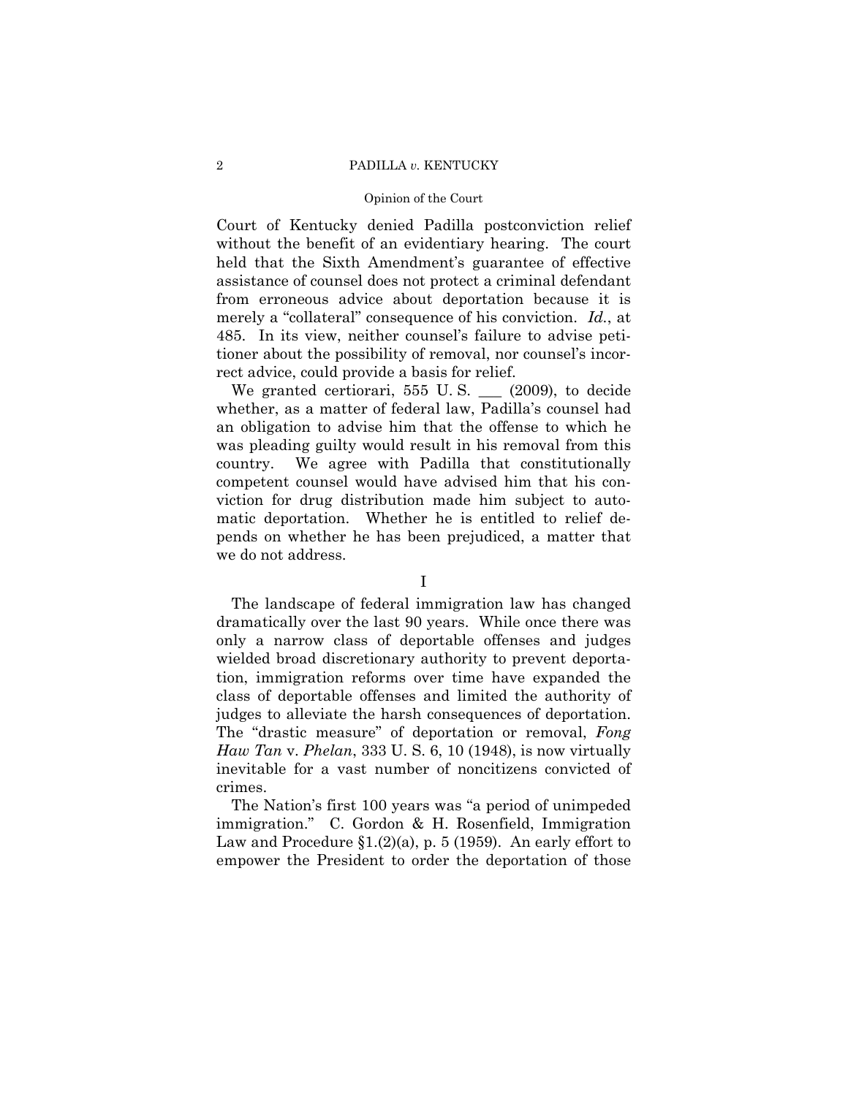#### Opinion of the Court

Court of Kentucky denied Padilla postconviction relief without the benefit of an evidentiary hearing. The court held that the Sixth Amendment's guarantee of effective assistance of counsel does not protect a criminal defendant from erroneous advice about deportation because it is merely a "collateral" consequence of his conviction. *Id.*, at 485. In its view, neither counsel's failure to advise petitioner about the possibility of removal, nor counsel's incorrect advice, could provide a basis for relief.

We granted certiorari, 555 U.S. (2009), to decide whether, as a matter of federal law, Padilla's counsel had an obligation to advise him that the offense to which he was pleading guilty would result in his removal from this country. We agree with Padilla that constitutionally competent counsel would have advised him that his conviction for drug distribution made him subject to automatic deportation. Whether he is entitled to relief depends on whether he has been prejudiced, a matter that we do not address.

The landscape of federal immigration law has changed dramatically over the last 90 years. While once there was only a narrow class of deportable offenses and judges wielded broad discretionary authority to prevent deportation, immigration reforms over time have expanded the class of deportable offenses and limited the authority of judges to alleviate the harsh consequences of deportation. The "drastic measure" of deportation or removal, *Fong Haw Tan* v. *Phelan*, 333 U. S. 6, 10 (1948), is now virtually inevitable for a vast number of noncitizens convicted of crimes.

The Nation's first 100 years was "a period of unimpeded immigration." C. Gordon & H. Rosenfield, Immigration Law and Procedure  $\S1.(2)(a)$ , p. 5 (1959). An early effort to empower the President to order the deportation of those

I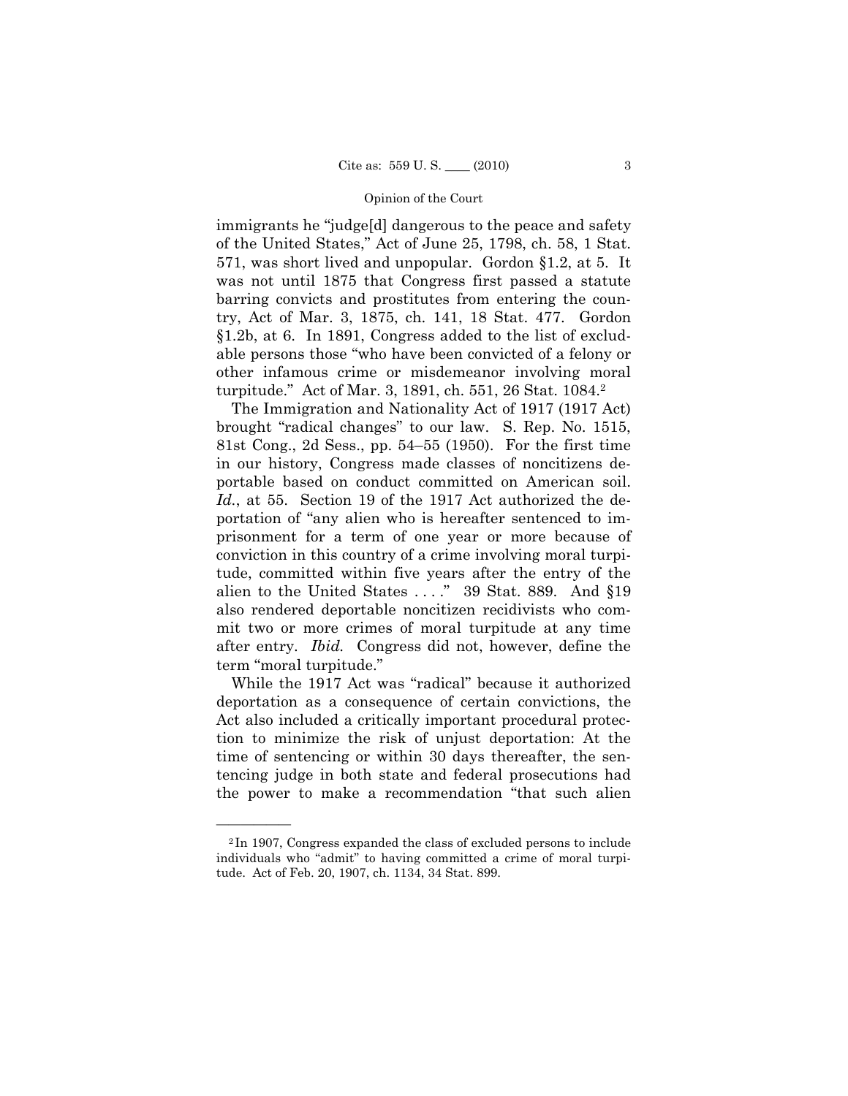immigrants he "judge[d] dangerous to the peace and safety of the United States," Act of June 25, 1798, ch. 58, 1 Stat. 571, was short lived and unpopular. Gordon §1.2, at 5. It was not until 1875 that Congress first passed a statute barring convicts and prostitutes from entering the country, Act of Mar. 3, 1875, ch. 141, 18 Stat. 477. Gordon §1.2b, at 6. In 1891, Congress added to the list of excludable persons those "who have been convicted of a felony or other infamous crime or misdemeanor involving moral turpitude." Act of Mar. 3, 1891, ch. 551, 26 Stat. 1084.2

The Immigration and Nationality Act of 1917 (1917 Act) brought "radical changes" to our law. S. Rep. No. 1515, 81st Cong., 2d Sess., pp. 54–55 (1950). For the first time in our history, Congress made classes of noncitizens deportable based on conduct committed on American soil. *Id.*, at 55. Section 19 of the 1917 Act authorized the deportation of "any alien who is hereafter sentenced to imprisonment for a term of one year or more because of conviction in this country of a crime involving moral turpitude, committed within five years after the entry of the alien to the United States . . . ." 39 Stat. 889. And §19 also rendered deportable noncitizen recidivists who commit two or more crimes of moral turpitude at any time after entry. *Ibid.* Congress did not, however, define the term "moral turpitude."

While the 1917 Act was "radical" because it authorized deportation as a consequence of certain convictions, the Act also included a critically important procedural protection to minimize the risk of unjust deportation: At the time of sentencing or within 30 days thereafter, the sentencing judge in both state and federal prosecutions had the power to make a recommendation "that such alien

<sup>2</sup> In 1907, Congress expanded the class of excluded persons to include individuals who "admit" to having committed a crime of moral turpitude. Act of Feb. 20, 1907, ch. 1134, 34 Stat. 899.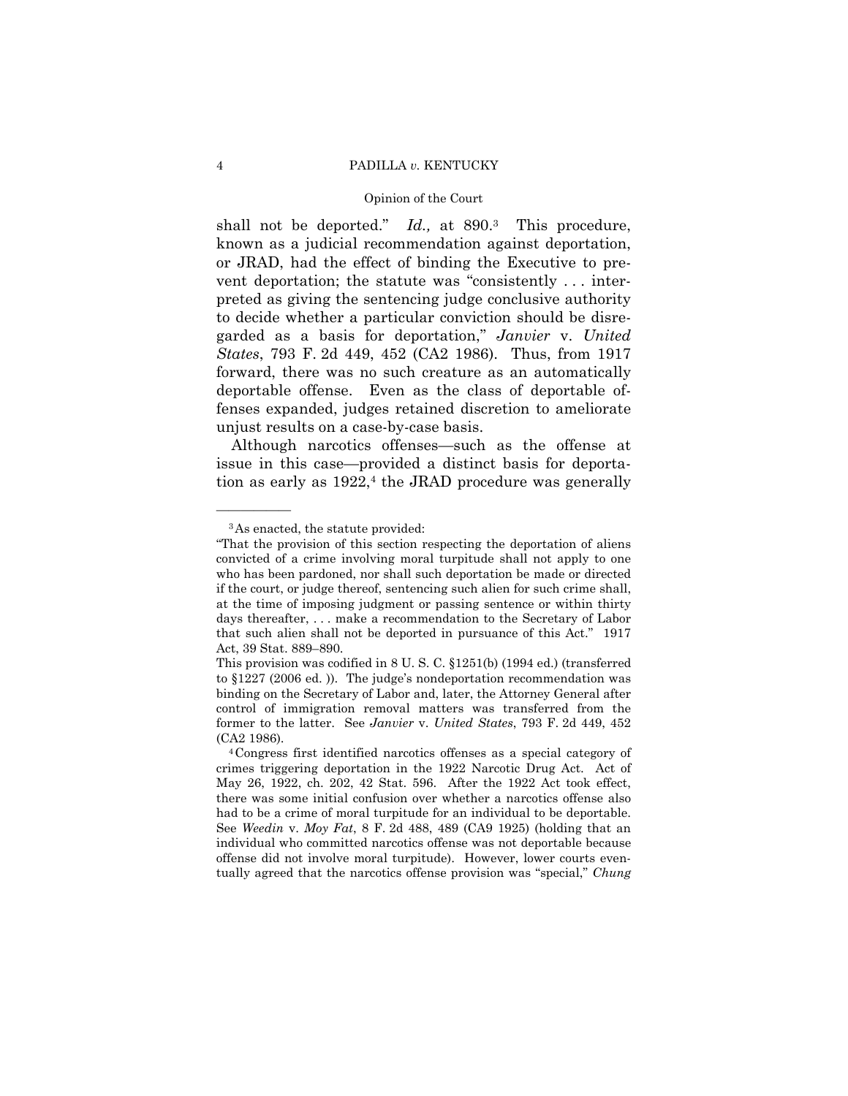## Opinion of the Court

shall not be deported." *Id.,* at 890.3 This procedure, known as a judicial recommendation against deportation, or JRAD, had the effect of binding the Executive to prevent deportation; the statute was "consistently . . . interpreted as giving the sentencing judge conclusive authority to decide whether a particular conviction should be disregarded as a basis for deportation," *Janvier* v. *United States*, 793 F. 2d 449, 452 (CA2 1986). Thus, from 1917 forward, there was no such creature as an automatically deportable offense. Even as the class of deportable offenses expanded, judges retained discretion to ameliorate unjust results on a case-by-case basis.

 Although narcotics offenses—such as the offense at issue in this case—provided a distinct basis for deportation as early as  $1922<sup>4</sup>$ , the JRAD procedure was generally

<sup>3</sup>As enacted, the statute provided:

<sup>&</sup>quot;That the provision of this section respecting the deportation of aliens convicted of a crime involving moral turpitude shall not apply to one who has been pardoned, nor shall such deportation be made or directed if the court, or judge thereof, sentencing such alien for such crime shall, at the time of imposing judgment or passing sentence or within thirty days thereafter, . . . make a recommendation to the Secretary of Labor that such alien shall not be deported in pursuance of this Act." 1917 Act, 39 Stat. 889–890.

This provision was codified in 8 U. S. C. §1251(b) (1994 ed.) (transferred to §1227 (2006 ed. )). The judge's nondeportation recommendation was binding on the Secretary of Labor and, later, the Attorney General after control of immigration removal matters was transferred from the former to the latter. See *Janvier* v. *United States*, 793 F. 2d 449, 452 (CA2 1986). 4Congress first identified narcotics offenses as a special category of

crimes triggering deportation in the 1922 Narcotic Drug Act. Act of May 26, 1922, ch. 202, 42 Stat. 596. After the 1922 Act took effect, there was some initial confusion over whether a narcotics offense also had to be a crime of moral turpitude for an individual to be deportable. See *Weedin* v. *Moy Fat*, 8 F. 2d 488, 489 (CA9 1925) (holding that an individual who committed narcotics offense was not deportable because offense did not involve moral turpitude). However, lower courts eventually agreed that the narcotics offense provision was "special," *Chung*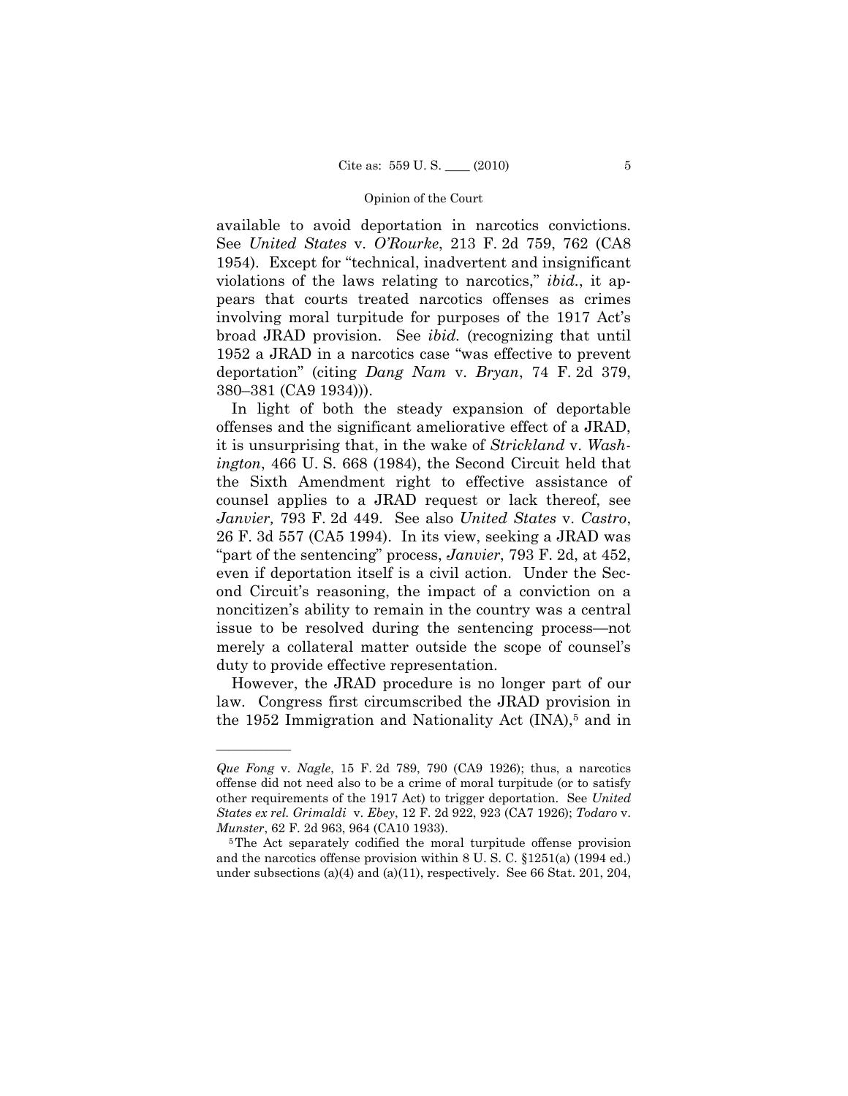available to avoid deportation in narcotics convictions. See *United States* v. *O'Rourke*, 213 F. 2d 759, 762 (CA8 1954). Except for "technical, inadvertent and insignificant violations of the laws relating to narcotics," *ibid.*, it appears that courts treated narcotics offenses as crimes involving moral turpitude for purposes of the 1917 Act's broad JRAD provision. See *ibid.* (recognizing that until 1952 a JRAD in a narcotics case "was effective to prevent deportation" (citing *Dang Nam* v. *Bryan*, 74 F. 2d 379, 380–381 (CA9 1934))).

In light of both the steady expansion of deportable offenses and the significant ameliorative effect of a JRAD, it is unsurprising that, in the wake of *Strickland* v. *Washington*, 466 U. S. 668 (1984), the Second Circuit held that the Sixth Amendment right to effective assistance of counsel applies to a JRAD request or lack thereof, see *Janvier,* 793 F. 2d 449. See also *United States* v. *Castro*, 26 F. 3d 557 (CA5 1994). In its view, seeking a JRAD was "part of the sentencing" process, *Janvier*, 793 F. 2d, at 452, even if deportation itself is a civil action. Under the Second Circuit's reasoning, the impact of a conviction on a noncitizen's ability to remain in the country was a central issue to be resolved during the sentencing process—not merely a collateral matter outside the scope of counsel's duty to provide effective representation.

However, the JRAD procedure is no longer part of our law. Congress first circumscribed the JRAD provision in the 1952 Immigration and Nationality Act (INA),<sup>5</sup> and in

*Que Fong* v. *Nagle*, 15 F. 2d 789, 790 (CA9 1926); thus, a narcotics offense did not need also to be a crime of moral turpitude (or to satisfy other requirements of the 1917 Act) to trigger deportation. See *United States ex rel. Grimaldi* v. *Ebey*, 12 F. 2d 922, 923 (CA7 1926); *Todaro* v. *Munster*, 62 F. 2d 963, 964 (CA10 1933).<br><sup>5</sup>The Act separately codified the moral turpitude offense provision

and the narcotics offense provision within 8 U. S. C. §1251(a) (1994 ed.) under subsections  $(a)(4)$  and  $(a)(11)$ , respectively. See 66 Stat. 201, 204,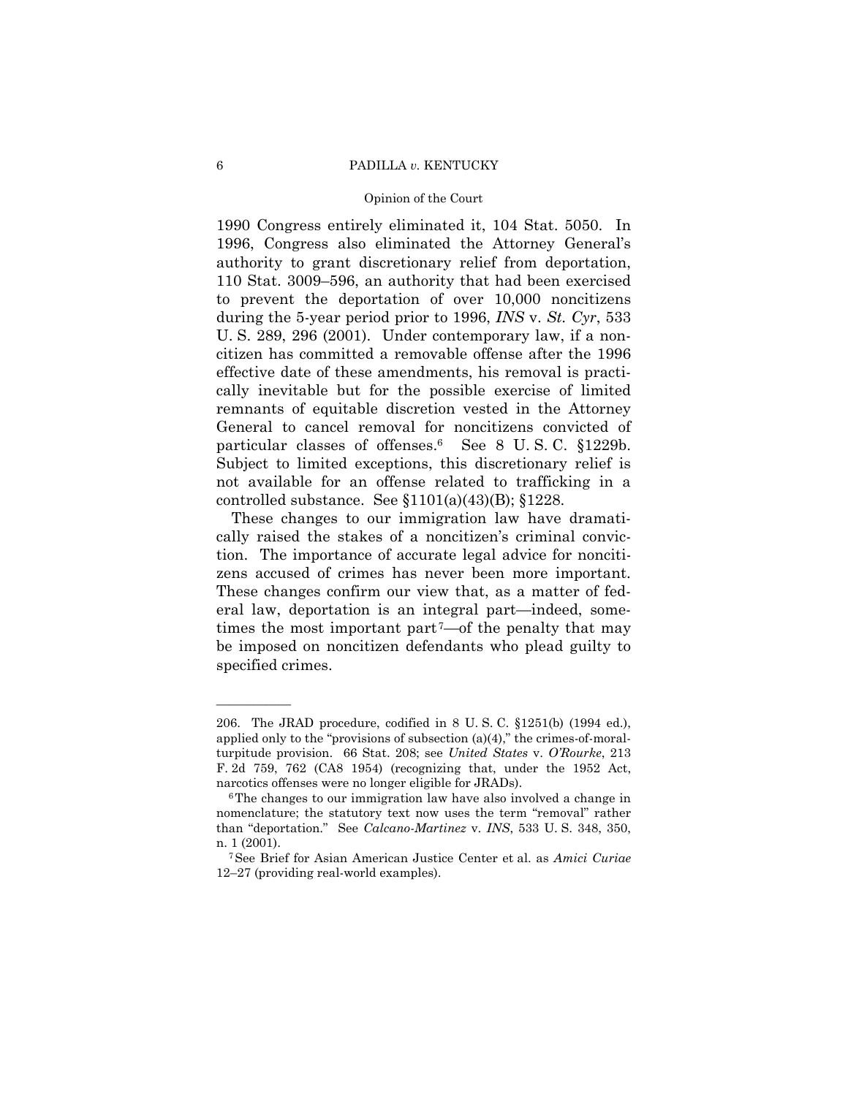#### Opinion of the Court

1990 Congress entirely eliminated it, 104 Stat. 5050. In 1996, Congress also eliminated the Attorney General's authority to grant discretionary relief from deportation, 110 Stat. 3009–596, an authority that had been exercised to prevent the deportation of over 10,000 noncitizens during the 5-year period prior to 1996, *INS* v. *St. Cyr*, 533 U. S. 289, 296 (2001). Under contemporary law, if a noncitizen has committed a removable offense after the 1996 effective date of these amendments, his removal is practically inevitable but for the possible exercise of limited remnants of equitable discretion vested in the Attorney General to cancel removal for noncitizens convicted of particular classes of offenses.6 See 8 U. S. C. §1229b. Subject to limited exceptions, this discretionary relief is not available for an offense related to trafficking in a controlled substance. See §1101(a)(43)(B); §1228.

These changes to our immigration law have dramatically raised the stakes of a noncitizen's criminal conviction. The importance of accurate legal advice for noncitizens accused of crimes has never been more important. These changes confirm our view that, as a matter of federal law, deportation is an integral part—indeed, sometimes the most important part<sup>7</sup>—of the penalty that may be imposed on noncitizen defendants who plead guilty to specified crimes.

<sup>206.</sup> The JRAD procedure, codified in 8 U. S. C. §1251(b) (1994 ed.), applied only to the "provisions of subsection (a)(4)," the crimes-of-moralturpitude provision. 66 Stat. 208; see *United States* v. *O'Rourke*, 213 F. 2d 759, 762 (CA8 1954) (recognizing that, under the 1952 Act, narcotics offenses were no longer eligible for JRADs).<br><sup>6</sup>The changes to our immigration law have also involved a change in

nomenclature; the statutory text now uses the term "removal" rather than "deportation." See *Calcano-Martinez* v. *INS*, 533 U. S. 348, 350, n. 1 (2001).

<sup>7</sup>See Brief for Asian American Justice Center et al. as *Amici Curiae*  12–27 (providing real-world examples).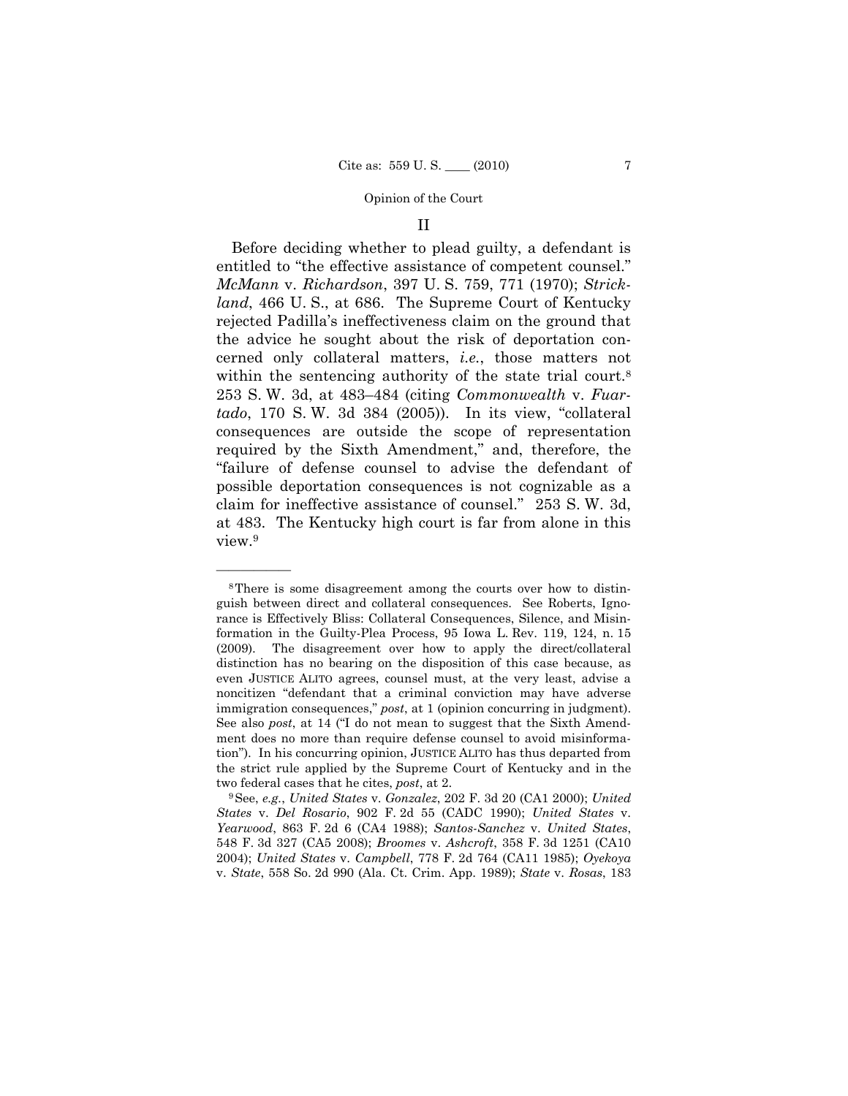### II

Before deciding whether to plead guilty, a defendant is entitled to "the effective assistance of competent counsel." *McMann* v. *Richardson*, 397 U. S. 759, 771 (1970); *Strickland*, 466 U.S., at 686. The Supreme Court of Kentucky rejected Padilla's ineffectiveness claim on the ground that the advice he sought about the risk of deportation concerned only collateral matters, *i.e.*, those matters not within the sentencing authority of the state trial court.<sup>8</sup> 253 S. W. 3d, at 483–484 (citing *Commonwealth* v. *Fuartado*, 170 S. W. 3d 384 (2005)). In its view, "collateral consequences are outside the scope of representation required by the Sixth Amendment," and, therefore, the "failure of defense counsel to advise the defendant of possible deportation consequences is not cognizable as a claim for ineffective assistance of counsel." 253 S. W. 3d, at 483. The Kentucky high court is far from alone in this view.<sup>9</sup>

<sup>8</sup>There is some disagreement among the courts over how to distinguish between direct and collateral consequences. See Roberts, Ignorance is Effectively Bliss: Collateral Consequences, Silence, and Misinformation in the Guilty-Plea Process, 95 Iowa L. Rev. 119, 124, n. 15 (2009). The disagreement over how to apply the direct/collateral distinction has no bearing on the disposition of this case because, as even JUSTICE ALITO agrees, counsel must, at the very least, advise a noncitizen "defendant that a criminal conviction may have adverse immigration consequences," *post*, at 1 (opinion concurring in judgment). See also *post*, at 14 ("I do not mean to suggest that the Sixth Amendment does no more than require defense counsel to avoid misinformation"). In his concurring opinion, JUSTICE ALITO has thus departed from the strict rule applied by the Supreme Court of Kentucky and in the two federal cases that he cites, *post*, at 2.<br><sup>9</sup>See, *e.g.*, *United States* v. *Gonzalez*, 202 F. 3d 20 (CA1 2000); *United* 

*States* v. *Del Rosario*, 902 F. 2d 55 (CADC 1990); *United States* v. *Yearwood*, 863 F. 2d 6 (CA4 1988); *Santos-Sanchez* v. *United States*, 548 F. 3d 327 (CA5 2008); *Broomes* v. *Ashcroft*, 358 F. 3d 1251 (CA10 2004); *United States* v. *Campbell*, 778 F. 2d 764 (CA11 1985); *Oyekoya*  v. *State*, 558 So. 2d 990 (Ala. Ct. Crim. App. 1989); *State* v. *Rosas*, 183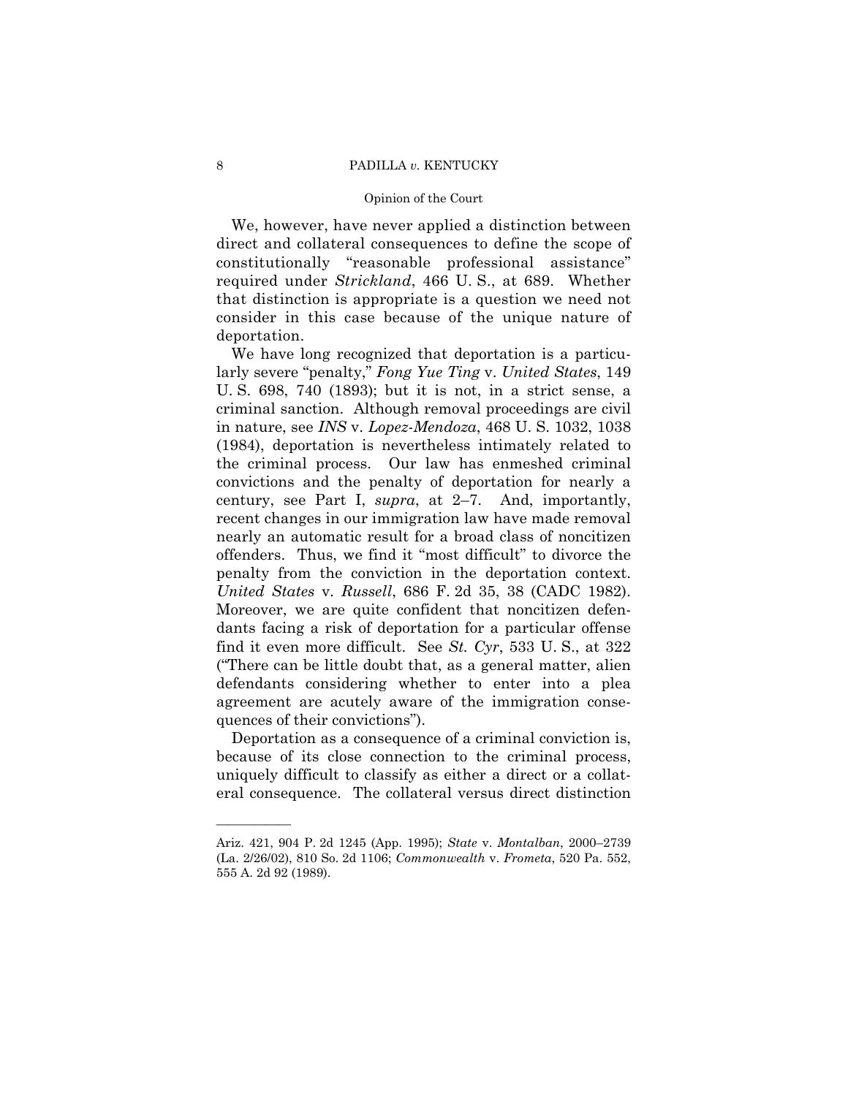#### Opinion of the Court

We, however, have never applied a distinction between direct and collateral consequences to define the scope of constitutionally "reasonable professional assistance" required under *Strickland*, 466 U. S., at 689. Whether that distinction is appropriate is a question we need not consider in this case because of the unique nature of deportation.

We have long recognized that deportation is a particularly severe "penalty," *Fong Yue Ting* v. *United States*, 149 U. S. 698, 740 (1893); but it is not, in a strict sense, a criminal sanction. Although removal proceedings are civil in nature, see *INS* v. *Lopez-Mendoza*, 468 U. S. 1032, 1038 (1984), deportation is nevertheless intimately related to the criminal process. Our law has enmeshed criminal convictions and the penalty of deportation for nearly a century, see Part I, *supra*, at 2–7. And, importantly, recent changes in our immigration law have made removal nearly an automatic result for a broad class of noncitizen offenders. Thus, we find it "most difficult" to divorce the penalty from the conviction in the deportation context. *United States* v. *Russell*, 686 F. 2d 35, 38 (CADC 1982). Moreover, we are quite confident that noncitizen defendants facing a risk of deportation for a particular offense find it even more difficult. See *St. Cyr*, 533 U. S., at 322 ("There can be little doubt that, as a general matter, alien defendants considering whether to enter into a plea agreement are acutely aware of the immigration consequences of their convictions").

Deportation as a consequence of a criminal conviction is, because of its close connection to the criminal process, uniquely difficult to classify as either a direct or a collateral consequence. The collateral versus direct distinction

Ariz. 421, 904 P. 2d 1245 (App. 1995); *State* v. *Montalban*, 2000–2739 (La. 2/26/02), 810 So. 2d 1106; *Commonwealth* v. *Frometa*, 520 Pa. 552, 555 A. 2d 92 (1989).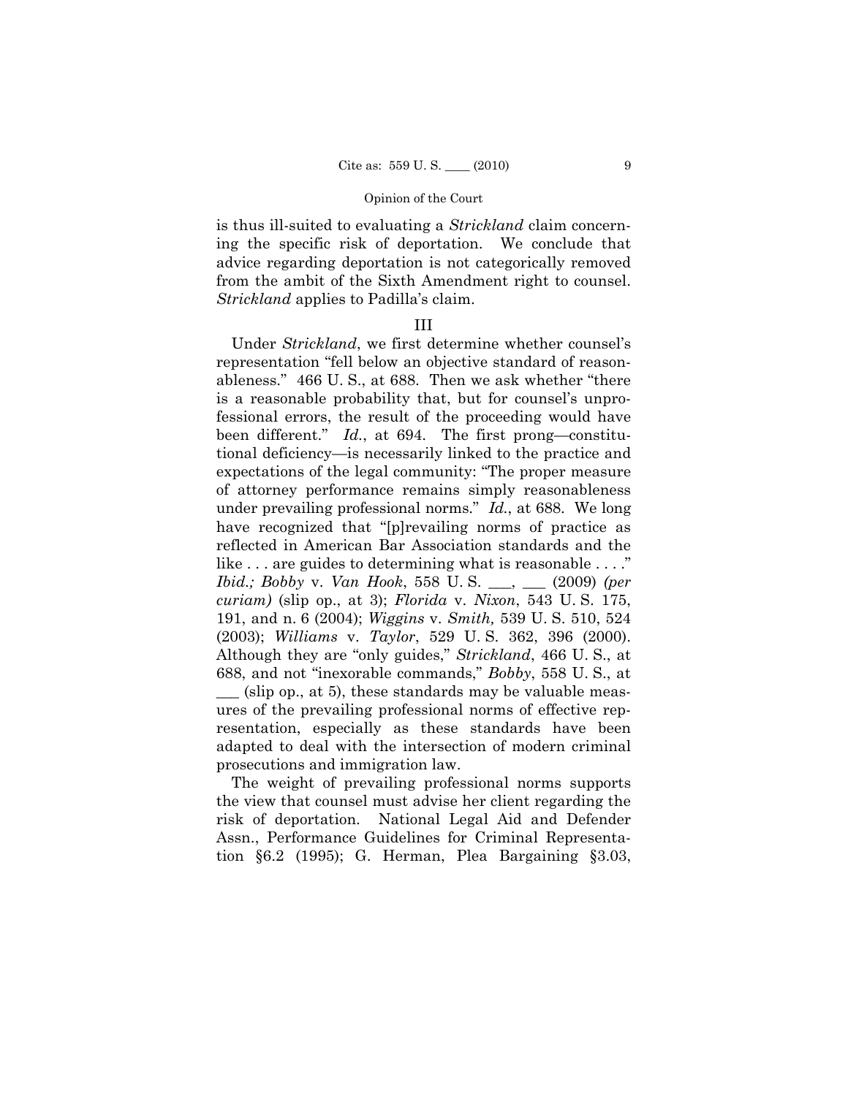is thus ill-suited to evaluating a *Strickland* claim concerning the specific risk of deportation. We conclude that advice regarding deportation is not categorically removed from the ambit of the Sixth Amendment right to counsel. *Strickland* applies to Padilla's claim.

#### III

Under *Strickland*, we first determine whether counsel's representation "fell below an objective standard of reasonableness." 466 U. S., at 688. Then we ask whether "there is a reasonable probability that, but for counsel's unprofessional errors, the result of the proceeding would have been different." *Id.*, at 694. The first prong—constitutional deficiency—is necessarily linked to the practice and expectations of the legal community: "The proper measure of attorney performance remains simply reasonableness under prevailing professional norms." *Id.*, at 688. We long have recognized that "[p]revailing norms of practice as reflected in American Bar Association standards and the like ... are guides to determining what is reasonable ...." *Ibid.; Bobby* v. *Van Hook*, 558 U. S. \_\_\_, \_\_\_ (2009) *(per curiam)* (slip op., at 3); *Florida* v. *Nixon*, 543 U. S. 175, 191, and n. 6 (2004); *Wiggins* v. *Smith,* 539 U. S. 510, 524 (2003); *Williams* v. *Taylor*, 529 U. S. 362, 396 (2000). Although they are "only guides," *Strickland*, 466 U. S., at 688, and not "inexorable commands," *Bobby*, 558 U. S., at  $\equiv$  (slip op., at 5), these standards may be valuable measures of the prevailing professional norms of effective representation, especially as these standards have been adapted to deal with the intersection of modern criminal prosecutions and immigration law.

The weight of prevailing professional norms supports the view that counsel must advise her client regarding the risk of deportation. National Legal Aid and Defender Assn., Performance Guidelines for Criminal Representation §6.2 (1995); G. Herman, Plea Bargaining §3.03,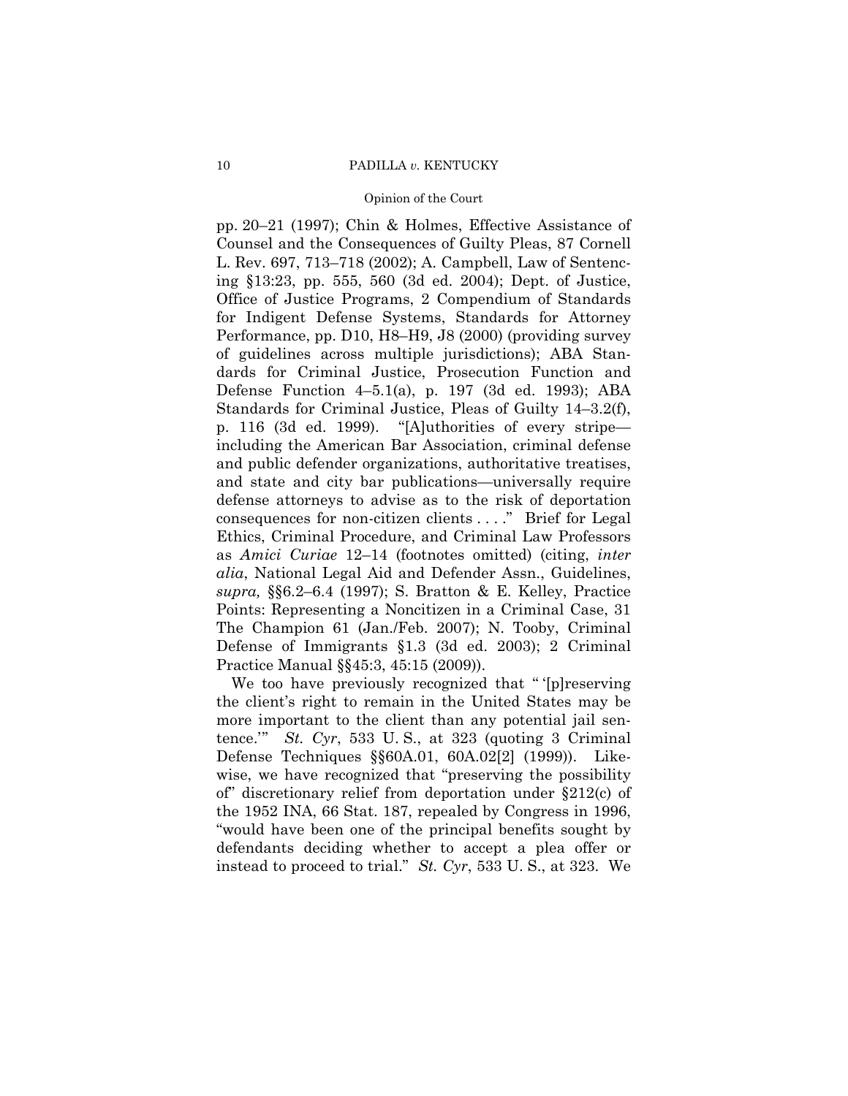#### Opinion of the Court

pp. 20–21 (1997); Chin & Holmes, Effective Assistance of Counsel and the Consequences of Guilty Pleas, 87 Cornell L. Rev. 697, 713–718 (2002); A. Campbell, Law of Sentencing §13:23, pp. 555, 560 (3d ed. 2004); Dept. of Justice, Office of Justice Programs, 2 Compendium of Standards for Indigent Defense Systems, Standards for Attorney Performance, pp. D10, H8–H9, J8 (2000) (providing survey of guidelines across multiple jurisdictions); ABA Standards for Criminal Justice, Prosecution Function and Defense Function 4–5.1(a), p. 197 (3d ed. 1993); ABA Standards for Criminal Justice, Pleas of Guilty 14–3.2(f), p. 116 (3d ed. 1999). "[A]uthorities of every stripe including the American Bar Association, criminal defense and public defender organizations, authoritative treatises, and state and city bar publications—universally require defense attorneys to advise as to the risk of deportation consequences for non-citizen clients . . . ." Brief for Legal Ethics, Criminal Procedure, and Criminal Law Professors as *Amici Curiae* 12–14 (footnotes omitted) (citing, *inter alia*, National Legal Aid and Defender Assn., Guidelines, *supra,* §§6.2–6.4 (1997); S. Bratton & E. Kelley, Practice Points: Representing a Noncitizen in a Criminal Case, 31 The Champion 61 (Jan./Feb. 2007); N. Tooby, Criminal Defense of Immigrants §1.3 (3d ed. 2003); 2 Criminal Practice Manual §§45:3, 45:15 (2009)).

We too have previously recognized that " '[p]reserving the client's right to remain in the United States may be more important to the client than any potential jail sentence.'" *St. Cyr*, 533 U. S., at 323 (quoting 3 Criminal Defense Techniques §§60A.01, 60A.02[2] (1999)). Likewise, we have recognized that "preserving the possibility of" discretionary relief from deportation under §212(c) of the 1952 INA, 66 Stat. 187, repealed by Congress in 1996, "would have been one of the principal benefits sought by defendants deciding whether to accept a plea offer or instead to proceed to trial." *St. Cyr*, 533 U. S., at 323. We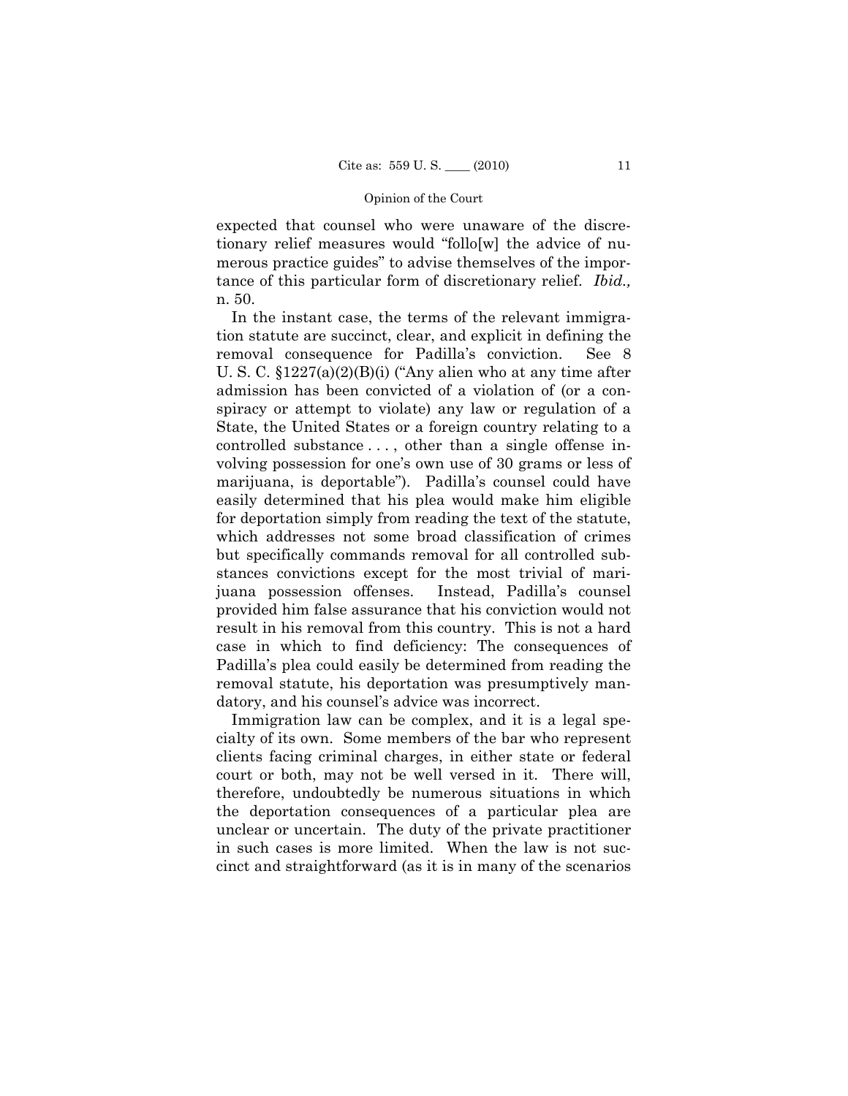expected that counsel who were unaware of the discretionary relief measures would "follo[w] the advice of numerous practice guides" to advise themselves of the importance of this particular form of discretionary relief. *Ibid.,*  n. 50.

In the instant case, the terms of the relevant immigration statute are succinct, clear, and explicit in defining the removal consequence for Padilla's conviction. See 8 U. S. C. §1227(a)(2)(B)(i) ("Any alien who at any time after admission has been convicted of a violation of (or a conspiracy or attempt to violate) any law or regulation of a State, the United States or a foreign country relating to a controlled substance . . . , other than a single offense involving possession for one's own use of 30 grams or less of marijuana, is deportable"). Padilla's counsel could have easily determined that his plea would make him eligible for deportation simply from reading the text of the statute, which addresses not some broad classification of crimes but specifically commands removal for all controlled substances convictions except for the most trivial of marijuana possession offenses. Instead, Padilla's counsel provided him false assurance that his conviction would not result in his removal from this country. This is not a hard case in which to find deficiency: The consequences of Padilla's plea could easily be determined from reading the removal statute, his deportation was presumptively mandatory, and his counsel's advice was incorrect.

Immigration law can be complex, and it is a legal specialty of its own. Some members of the bar who represent clients facing criminal charges, in either state or federal court or both, may not be well versed in it. There will, therefore, undoubtedly be numerous situations in which the deportation consequences of a particular plea are unclear or uncertain. The duty of the private practitioner in such cases is more limited. When the law is not succinct and straightforward (as it is in many of the scenarios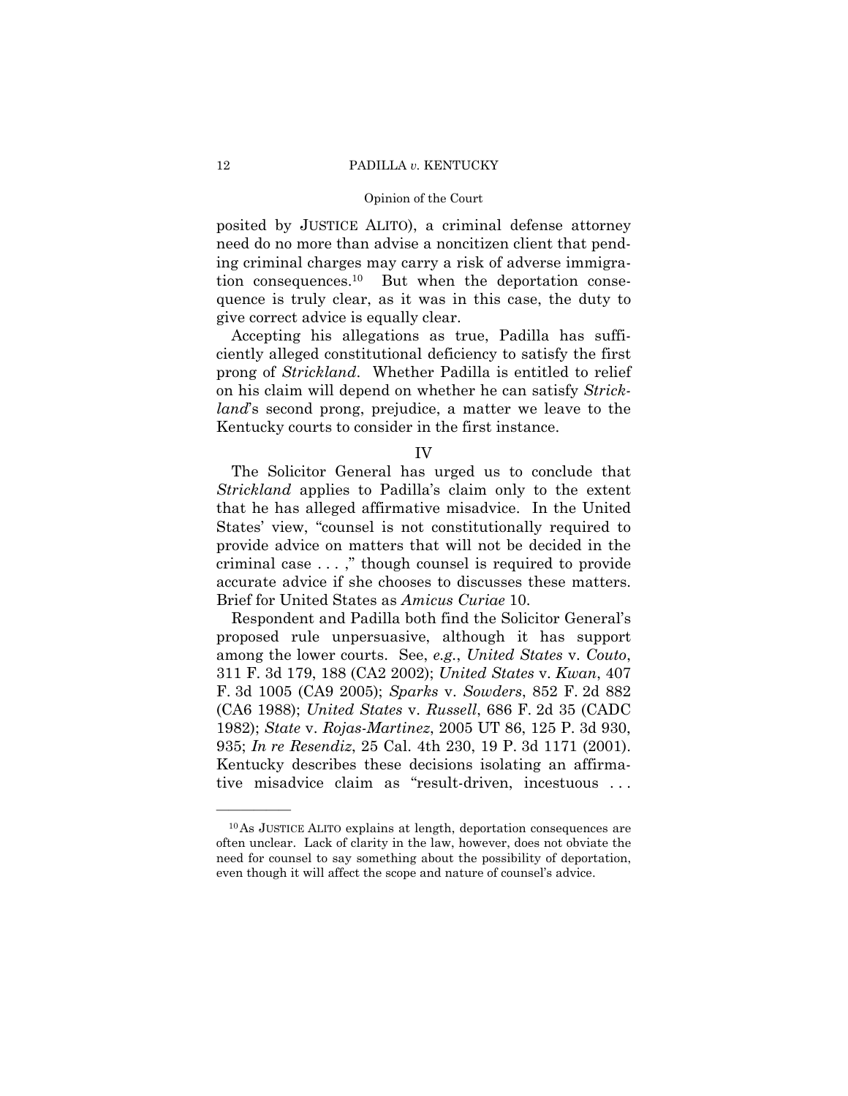#### Opinion of the Court

posited by JUSTICE ALITO), a criminal defense attorney need do no more than advise a noncitizen client that pending criminal charges may carry a risk of adverse immigration consequences.10 But when the deportation consequence is truly clear, as it was in this case, the duty to give correct advice is equally clear.

Accepting his allegations as true, Padilla has sufficiently alleged constitutional deficiency to satisfy the first prong of *Strickland*. Whether Padilla is entitled to relief on his claim will depend on whether he can satisfy *Strickland*'s second prong, prejudice, a matter we leave to the Kentucky courts to consider in the first instance.

IV

The Solicitor General has urged us to conclude that *Strickland* applies to Padilla's claim only to the extent that he has alleged affirmative misadvice. In the United States' view, "counsel is not constitutionally required to provide advice on matters that will not be decided in the criminal case . . . ," though counsel is required to provide accurate advice if she chooses to discusses these matters. Brief for United States as *Amicus Curiae* 10.

Respondent and Padilla both find the Solicitor General's proposed rule unpersuasive, although it has support among the lower courts. See, *e.g.*, *United States* v. *Couto*, 311 F. 3d 179, 188 (CA2 2002); *United States* v. *Kwan*, 407 F. 3d 1005 (CA9 2005); *Sparks* v. *Sowders*, 852 F. 2d 882 (CA6 1988); *United States* v. *Russell*, 686 F. 2d 35 (CADC 1982); *State* v. *Rojas-Martinez*, 2005 UT 86, 125 P. 3d 930, 935; *In re Resendiz*, 25 Cal. 4th 230, 19 P. 3d 1171 (2001). Kentucky describes these decisions isolating an affirmative misadvice claim as "result-driven, incestuous . . .

<sup>10</sup>As JUSTICE ALITO explains at length, deportation consequences are often unclear. Lack of clarity in the law, however, does not obviate the need for counsel to say something about the possibility of deportation, even though it will affect the scope and nature of counsel's advice.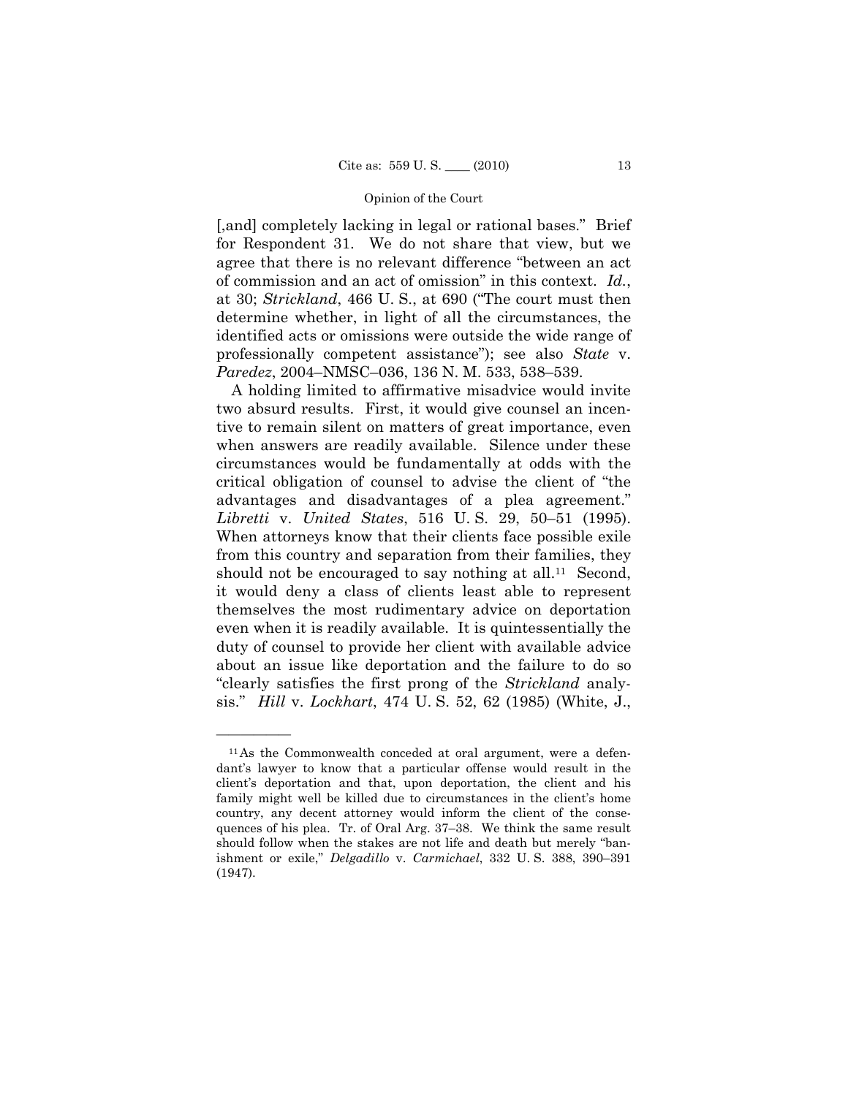[,and] completely lacking in legal or rational bases." Brief for Respondent 31. We do not share that view, but we agree that there is no relevant difference "between an act of commission and an act of omission" in this context. *Id.*, at 30; *Strickland*, 466 U. S., at 690 ("The court must then determine whether, in light of all the circumstances, the identified acts or omissions were outside the wide range of professionally competent assistance"); see also *State* v. *Paredez*, 2004–NMSC–036, 136 N. M. 533, 538–539.

A holding limited to affirmative misadvice would invite two absurd results. First, it would give counsel an incentive to remain silent on matters of great importance, even when answers are readily available. Silence under these circumstances would be fundamentally at odds with the critical obligation of counsel to advise the client of "the advantages and disadvantages of a plea agreement." *Libretti* v. *United States*, 516 U. S. 29, 50–51 (1995). When attorneys know that their clients face possible exile from this country and separation from their families, they should not be encouraged to say nothing at all.<sup>11</sup> Second, it would deny a class of clients least able to represent themselves the most rudimentary advice on deportation even when it is readily available. It is quintessentially the duty of counsel to provide her client with available advice about an issue like deportation and the failure to do so "clearly satisfies the first prong of the *Strickland* analysis." *Hill* v. *Lockhart*, 474 U. S. 52, 62 (1985) (White, J.,

<sup>11</sup>As the Commonwealth conceded at oral argument, were a defendant's lawyer to know that a particular offense would result in the client's deportation and that, upon deportation, the client and his family might well be killed due to circumstances in the client's home country, any decent attorney would inform the client of the consequences of his plea. Tr. of Oral Arg. 37–38. We think the same result should follow when the stakes are not life and death but merely "banishment or exile," *Delgadillo* v. *Carmichael*, 332 U. S. 388, 390–391 (1947).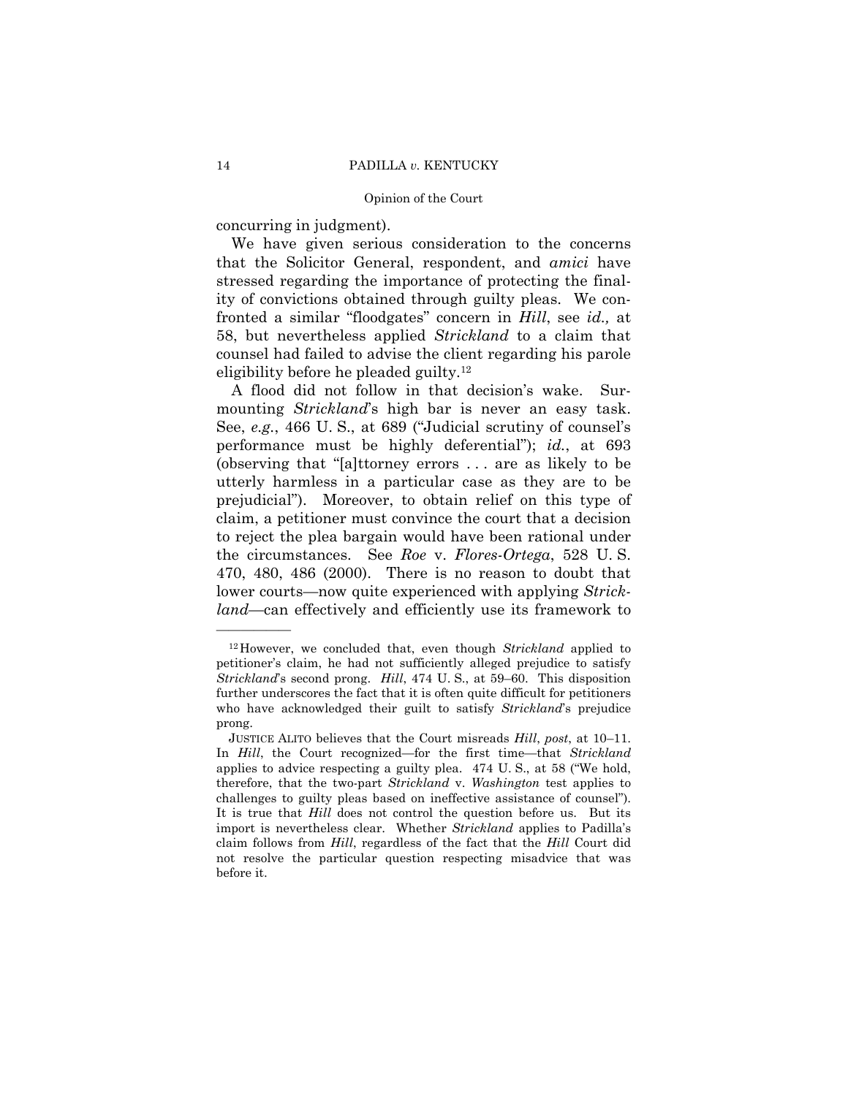concurring in judgment).

We have given serious consideration to the concerns that the Solicitor General, respondent, and *amici* have stressed regarding the importance of protecting the finality of convictions obtained through guilty pleas. We confronted a similar "floodgates" concern in *Hill*, see *id.,* at 58, but nevertheless applied *Strickland* to a claim that counsel had failed to advise the client regarding his parole eligibility before he pleaded guilty.12

A flood did not follow in that decision's wake. Surmounting *Strickland*'s high bar is never an easy task. See, *e.g.*, 466 U. S., at 689 ("Judicial scrutiny of counsel's performance must be highly deferential"); *id.*, at 693 (observing that "[a]ttorney errors . . . are as likely to be utterly harmless in a particular case as they are to be prejudicial"). Moreover, to obtain relief on this type of claim, a petitioner must convince the court that a decision to reject the plea bargain would have been rational under the circumstances. See *Roe* v. *Flores-Ortega*, 528 U. S. 470, 480, 486 (2000). There is no reason to doubt that lower courts—now quite experienced with applying *Strickland*—can effectively and efficiently use its framework to

<sup>12</sup>However, we concluded that, even though *Strickland* applied to petitioner's claim, he had not sufficiently alleged prejudice to satisfy *Strickland*'s second prong. *Hill*, 474 U. S., at 59–60. This disposition further underscores the fact that it is often quite difficult for petitioners who have acknowledged their guilt to satisfy *Strickland*'s prejudice prong.

JUSTICE ALITO believes that the Court misreads *Hill*, *post*, at 10–11. In *Hill*, the Court recognized—for the first time—that *Strickland*  applies to advice respecting a guilty plea. 474 U. S., at 58 ("We hold, therefore, that the two-part *Strickland* v. *Washington* test applies to challenges to guilty pleas based on ineffective assistance of counsel"). It is true that *Hill* does not control the question before us. But its import is nevertheless clear. Whether *Strickland* applies to Padilla's claim follows from *Hill*, regardless of the fact that the *Hill* Court did not resolve the particular question respecting misadvice that was before it.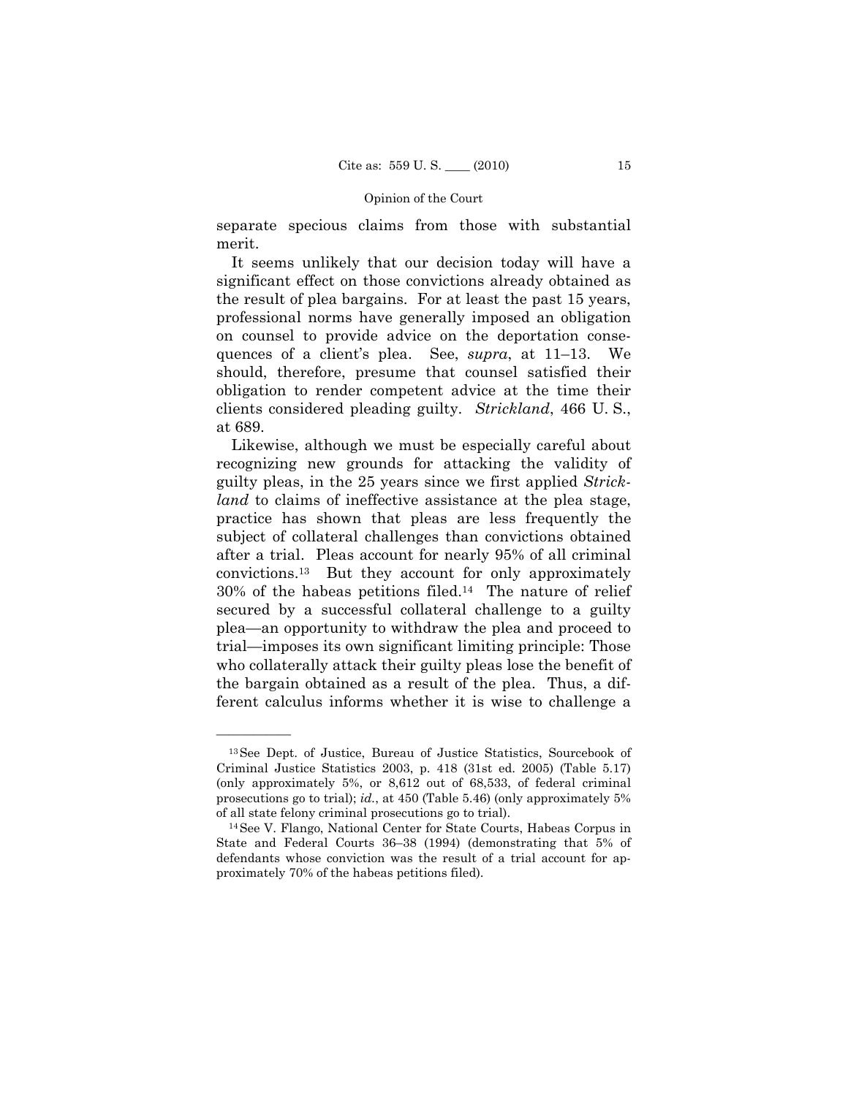separate specious claims from those with substantial merit.

It seems unlikely that our decision today will have a significant effect on those convictions already obtained as the result of plea bargains. For at least the past 15 years, professional norms have generally imposed an obligation on counsel to provide advice on the deportation consequences of a client's plea. See, *supra*, at 11–13. We should, therefore, presume that counsel satisfied their obligation to render competent advice at the time their clients considered pleading guilty. *Strickland*, 466 U. S., at 689.

Likewise, although we must be especially careful about recognizing new grounds for attacking the validity of guilty pleas, in the 25 years since we first applied *Strickland* to claims of ineffective assistance at the plea stage, practice has shown that pleas are less frequently the subject of collateral challenges than convictions obtained after a trial. Pleas account for nearly 95% of all criminal convictions.13 But they account for only approximately  $30\%$  of the habeas petitions filed.<sup>14</sup> The nature of relief secured by a successful collateral challenge to a guilty plea—an opportunity to withdraw the plea and proceed to trial—imposes its own significant limiting principle: Those who collaterally attack their guilty pleas lose the benefit of the bargain obtained as a result of the plea. Thus, a different calculus informs whether it is wise to challenge a

<sup>13</sup>See Dept. of Justice, Bureau of Justice Statistics, Sourcebook of Criminal Justice Statistics 2003, p. 418 (31st ed. 2005) (Table 5.17) (only approximately 5%, or 8,612 out of 68,533, of federal criminal prosecutions go to trial); *id.*, at 450 (Table 5.46) (only approximately 5%

of all state felony criminal prosecutions go to trial). 14See V. Flango, National Center for State Courts, Habeas Corpus in State and Federal Courts 36–38 (1994) (demonstrating that 5% of defendants whose conviction was the result of a trial account for approximately 70% of the habeas petitions filed).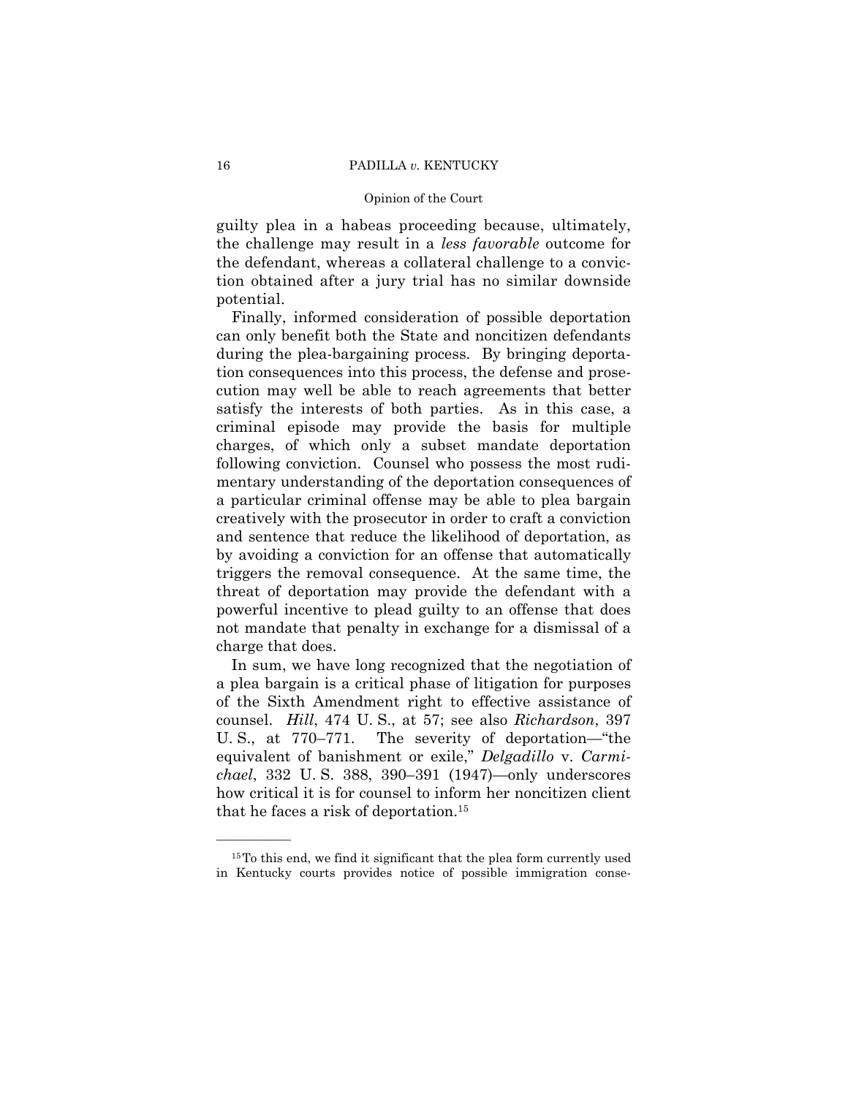#### Opinion of the Court

guilty plea in a habeas proceeding because, ultimately, the challenge may result in a *less favorable* outcome for the defendant, whereas a collateral challenge to a conviction obtained after a jury trial has no similar downside potential.

Finally, informed consideration of possible deportation can only benefit both the State and noncitizen defendants during the plea-bargaining process. By bringing deportation consequences into this process, the defense and prosecution may well be able to reach agreements that better satisfy the interests of both parties. As in this case, a criminal episode may provide the basis for multiple charges, of which only a subset mandate deportation following conviction. Counsel who possess the most rudimentary understanding of the deportation consequences of a particular criminal offense may be able to plea bargain creatively with the prosecutor in order to craft a conviction and sentence that reduce the likelihood of deportation, as by avoiding a conviction for an offense that automatically triggers the removal consequence. At the same time, the threat of deportation may provide the defendant with a powerful incentive to plead guilty to an offense that does not mandate that penalty in exchange for a dismissal of a charge that does.

In sum, we have long recognized that the negotiation of a plea bargain is a critical phase of litigation for purposes of the Sixth Amendment right to effective assistance of counsel. *Hill*, 474 U. S., at 57; see also *Richardson*, 397 U. S., at 770–771. The severity of deportation—"the equivalent of banishment or exile," *Delgadillo* v. *Carmichael*, 332 U. S. 388, 390–391 (1947)—only underscores how critical it is for counsel to inform her noncitizen client that he faces a risk of deportation.15

<sup>15</sup>To this end, we find it significant that the plea form currently used in Kentucky courts provides notice of possible immigration conse-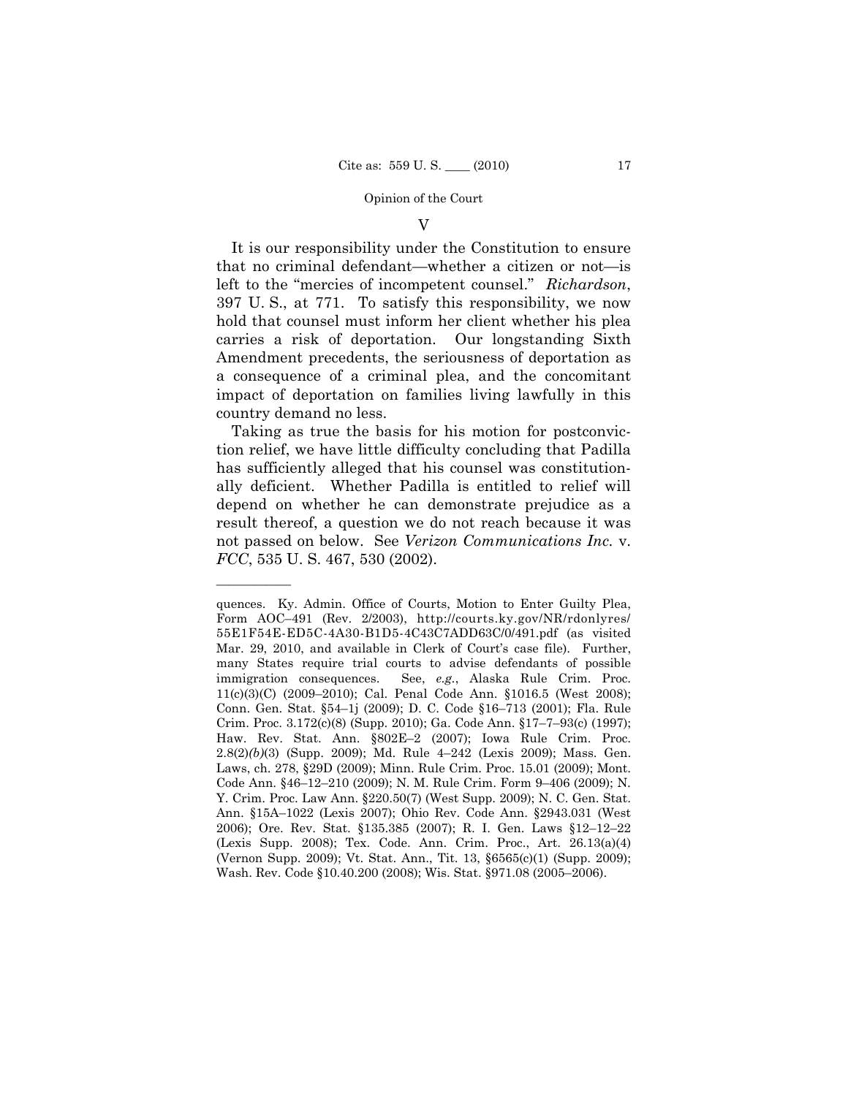## $\overline{V}$

It is our responsibility under the Constitution to ensure that no criminal defendant—whether a citizen or not—is left to the "mercies of incompetent counsel." *Richardson*, 397 U. S., at 771. To satisfy this responsibility, we now hold that counsel must inform her client whether his plea carries a risk of deportation. Our longstanding Sixth Amendment precedents, the seriousness of deportation as a consequence of a criminal plea, and the concomitant impact of deportation on families living lawfully in this country demand no less.

Taking as true the basis for his motion for postconviction relief, we have little difficulty concluding that Padilla has sufficiently alleged that his counsel was constitutionally deficient. Whether Padilla is entitled to relief will depend on whether he can demonstrate prejudice as a result thereof, a question we do not reach because it was not passed on below. See *Verizon Communications Inc.* v. *FCC*, 535 U. S. 467, 530 (2002).

quences. Ky. Admin. Office of Courts, Motion to Enter Guilty Plea, Form AOC–491 (Rev. 2/2003), http://courts.ky.gov/NR/rdonlyres/ 55E1F54E-ED5C-4A30-B1D5-4C43C7ADD63C/0/491.pdf (as visited Mar. 29, 2010, and available in Clerk of Court's case file). Further, many States require trial courts to advise defendants of possible immigration consequences. See, *e.g.*, Alaska Rule Crim. Proc. 11(c)(3)(C) (2009–2010); Cal. Penal Code Ann. §1016.5 (West 2008); Conn. Gen. Stat. §54–1j (2009); D. C. Code §16–713 (2001); Fla. Rule Crim. Proc. 3.172(c)(8) (Supp. 2010); Ga. Code Ann. §17–7–93(c) (1997); Haw. Rev. Stat. Ann. §802E–2 (2007); Iowa Rule Crim. Proc. 2.8(2)*(b)*(3) (Supp. 2009); Md. Rule 4–242 (Lexis 2009); Mass. Gen. Laws, ch. 278, §29D (2009); Minn. Rule Crim. Proc. 15.01 (2009); Mont. Code Ann. §46–12–210 (2009); N. M. Rule Crim. Form 9–406 (2009); N. Y. Crim. Proc. Law Ann. §220.50(7) (West Supp. 2009); N. C. Gen. Stat. Ann. §15A–1022 (Lexis 2007); Ohio Rev. Code Ann. §2943.031 (West 2006); Ore. Rev. Stat. §135.385 (2007); R. I. Gen. Laws §12–12–22 (Lexis Supp. 2008); Tex. Code. Ann. Crim. Proc., Art. 26.13(a)(4) (Vernon Supp. 2009); Vt. Stat. Ann., Tit. 13, §6565(c)(1) (Supp. 2009); Wash. Rev. Code §10.40.200 (2008); Wis. Stat. §971.08 (2005–2006).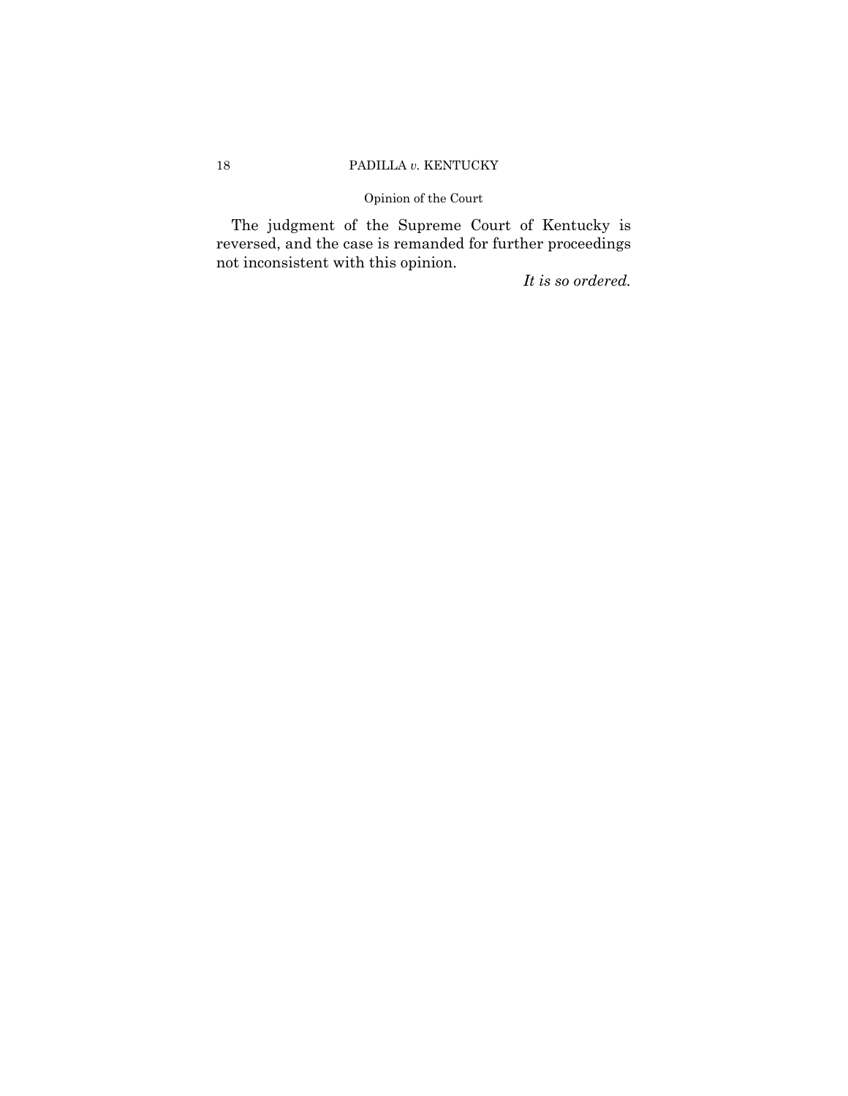The judgment of the Supreme Court of Kentucky is reversed, and the case is remanded for further proceedings not inconsistent with this opinion.

*It is so ordered.*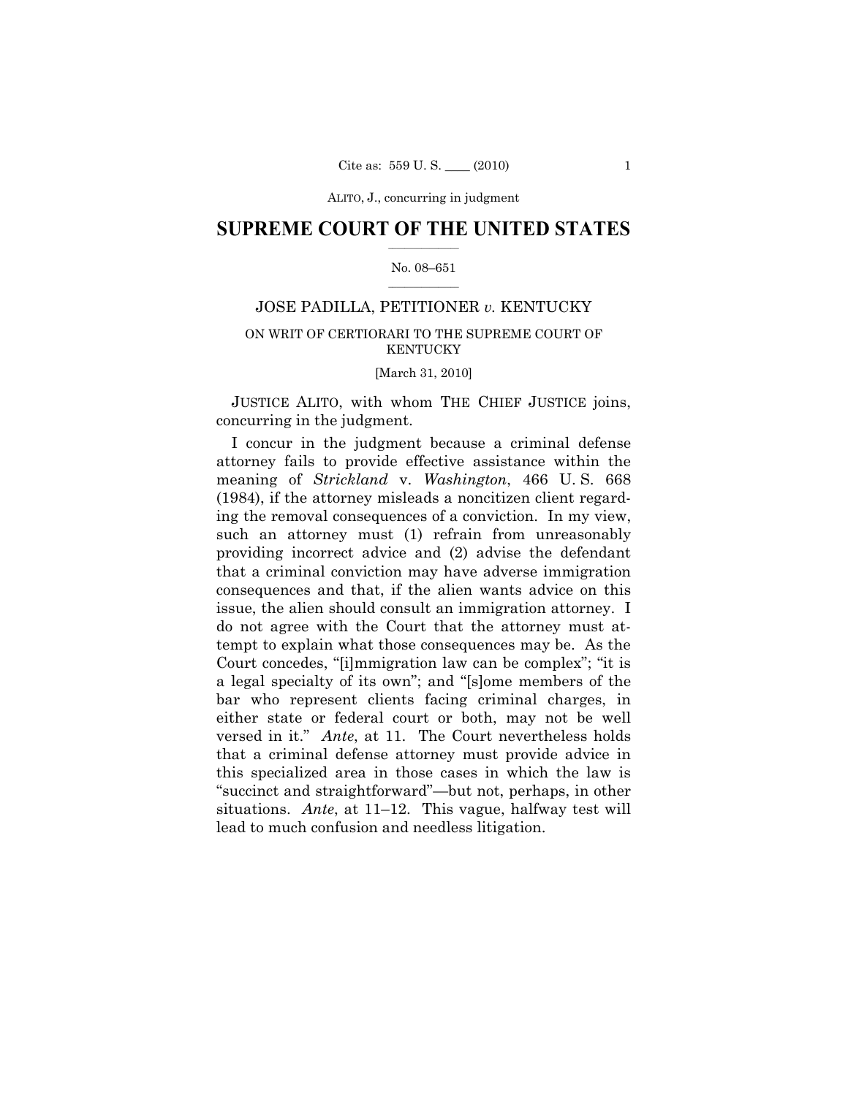## $\frac{1}{2}$  , where  $\frac{1}{2}$ **SUPREME COURT OF THE UNITED STATES**

### $\frac{1}{2}$  ,  $\frac{1}{2}$  ,  $\frac{1}{2}$  ,  $\frac{1}{2}$  ,  $\frac{1}{2}$  ,  $\frac{1}{2}$ No. 08–651

## JOSE PADILLA, PETITIONER *v.* KENTUCKY

## ON WRIT OF CERTIORARI TO THE SUPREME COURT OF KENTUCKY

#### [March 31, 2010]

JUSTICE ALITO, with whom THE CHIEF JUSTICE joins, concurring in the judgment.

I concur in the judgment because a criminal defense attorney fails to provide effective assistance within the meaning of *Strickland* v. *Washington*, 466 U. S. 668 (1984), if the attorney misleads a noncitizen client regarding the removal consequences of a conviction. In my view, such an attorney must (1) refrain from unreasonably providing incorrect advice and (2) advise the defendant that a criminal conviction may have adverse immigration consequences and that, if the alien wants advice on this issue, the alien should consult an immigration attorney. I do not agree with the Court that the attorney must attempt to explain what those consequences may be. As the Court concedes, "[i]mmigration law can be complex"; "it is a legal specialty of its own"; and "[s]ome members of the bar who represent clients facing criminal charges, in either state or federal court or both, may not be well versed in it." *Ante*, at 11. The Court nevertheless holds that a criminal defense attorney must provide advice in this specialized area in those cases in which the law is "succinct and straightforward"—but not, perhaps, in other situations. *Ante*, at 11–12. This vague, halfway test will lead to much confusion and needless litigation.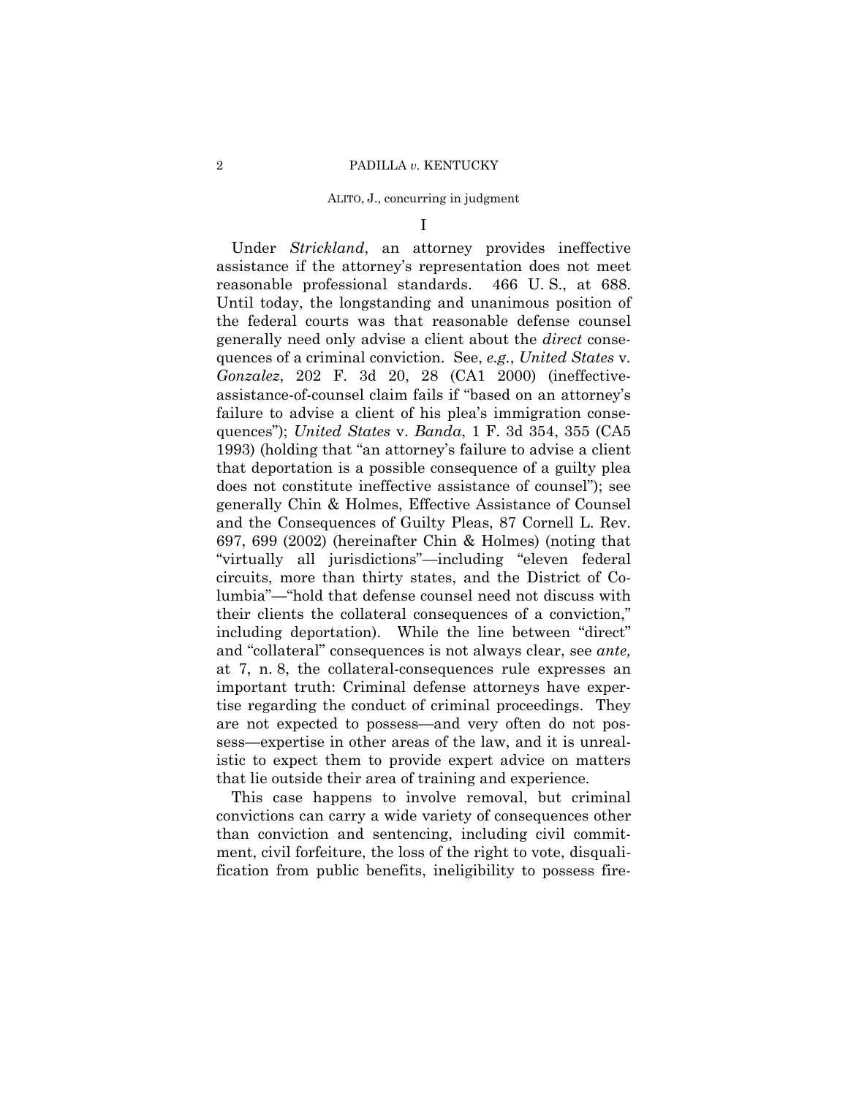I

Under *Strickland*, an attorney provides ineffective assistance if the attorney's representation does not meet reasonable professional standards. 466 U. S., at 688. Until today, the longstanding and unanimous position of the federal courts was that reasonable defense counsel generally need only advise a client about the *direct* consequences of a criminal conviction. See, *e.g.*, *United States* v*. Gonzalez*, 202 F. 3d 20, 28 (CA1 2000) (ineffectiveassistance-of-counsel claim fails if "based on an attorney's failure to advise a client of his plea's immigration consequences"); *United States* v. *Banda*, 1 F. 3d 354, 355 (CA5 1993) (holding that "an attorney's failure to advise a client that deportation is a possible consequence of a guilty plea does not constitute ineffective assistance of counsel"); see generally Chin & Holmes, Effective Assistance of Counsel and the Consequences of Guilty Pleas, 87 Cornell L. Rev. 697, 699 (2002) (hereinafter Chin & Holmes) (noting that "virtually all jurisdictions"—including "eleven federal circuits, more than thirty states, and the District of Columbia"—"hold that defense counsel need not discuss with their clients the collateral consequences of a conviction," including deportation). While the line between "direct" and "collateral" consequences is not always clear, see *ante,*  at 7, n. 8, the collateral-consequences rule expresses an important truth: Criminal defense attorneys have expertise regarding the conduct of criminal proceedings. They are not expected to possess—and very often do not possess—expertise in other areas of the law, and it is unrealistic to expect them to provide expert advice on matters that lie outside their area of training and experience.

This case happens to involve removal, but criminal convictions can carry a wide variety of consequences other than conviction and sentencing, including civil commitment, civil forfeiture, the loss of the right to vote, disqualification from public benefits, ineligibility to possess fire-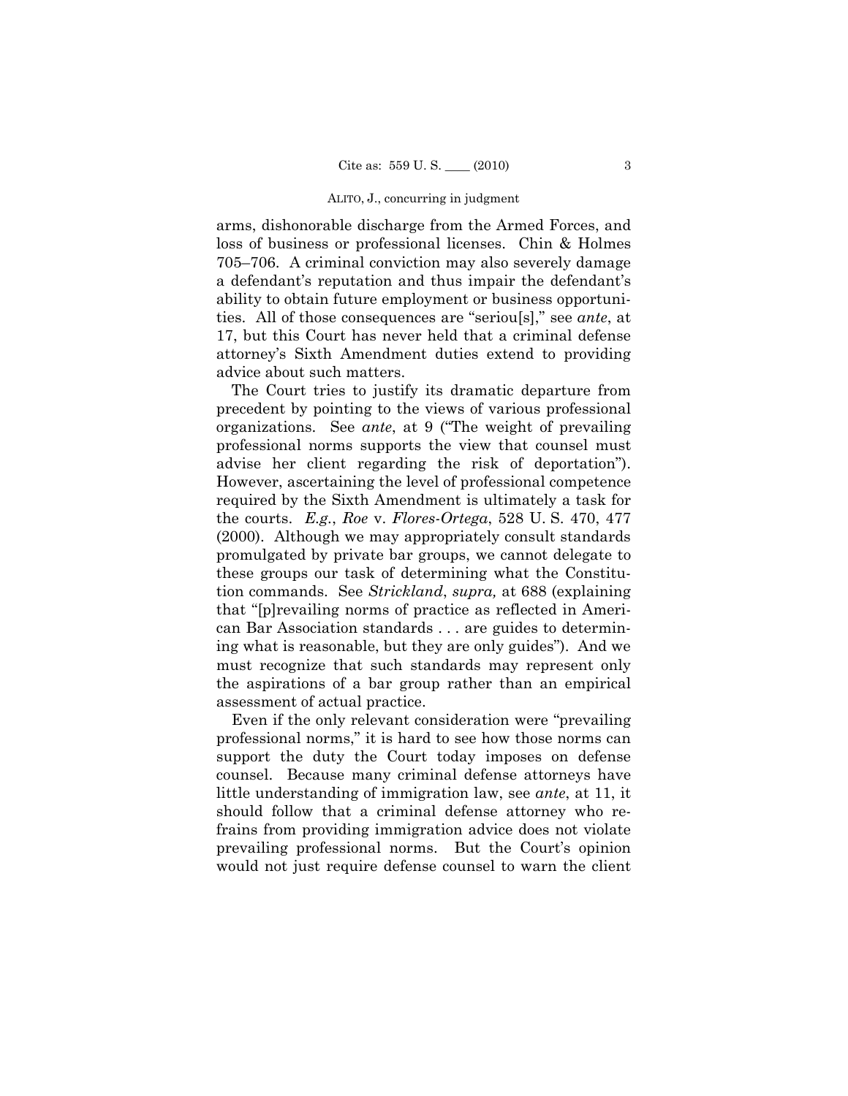arms, dishonorable discharge from the Armed Forces, and loss of business or professional licenses. Chin & Holmes 705–706. A criminal conviction may also severely damage a defendant's reputation and thus impair the defendant's ability to obtain future employment or business opportunities. All of those consequences are "seriou[s]," see *ante*, at 17, but this Court has never held that a criminal defense attorney's Sixth Amendment duties extend to providing advice about such matters.

The Court tries to justify its dramatic departure from precedent by pointing to the views of various professional organizations. See *ante*, at 9 ("The weight of prevailing professional norms supports the view that counsel must advise her client regarding the risk of deportation"). However, ascertaining the level of professional competence required by the Sixth Amendment is ultimately a task for the courts. *E.g.*, *Roe* v. *Flores-Ortega*, 528 U. S. 470, 477 (2000). Although we may appropriately consult standards promulgated by private bar groups, we cannot delegate to these groups our task of determining what the Constitution commands. See *Strickland*, *supra,* at 688 (explaining that "[p]revailing norms of practice as reflected in American Bar Association standards . . . are guides to determining what is reasonable, but they are only guides"). And we must recognize that such standards may represent only the aspirations of a bar group rather than an empirical assessment of actual practice.

Even if the only relevant consideration were "prevailing professional norms," it is hard to see how those norms can support the duty the Court today imposes on defense counsel. Because many criminal defense attorneys have little understanding of immigration law, see *ante*, at 11, it should follow that a criminal defense attorney who refrains from providing immigration advice does not violate prevailing professional norms. But the Court's opinion would not just require defense counsel to warn the client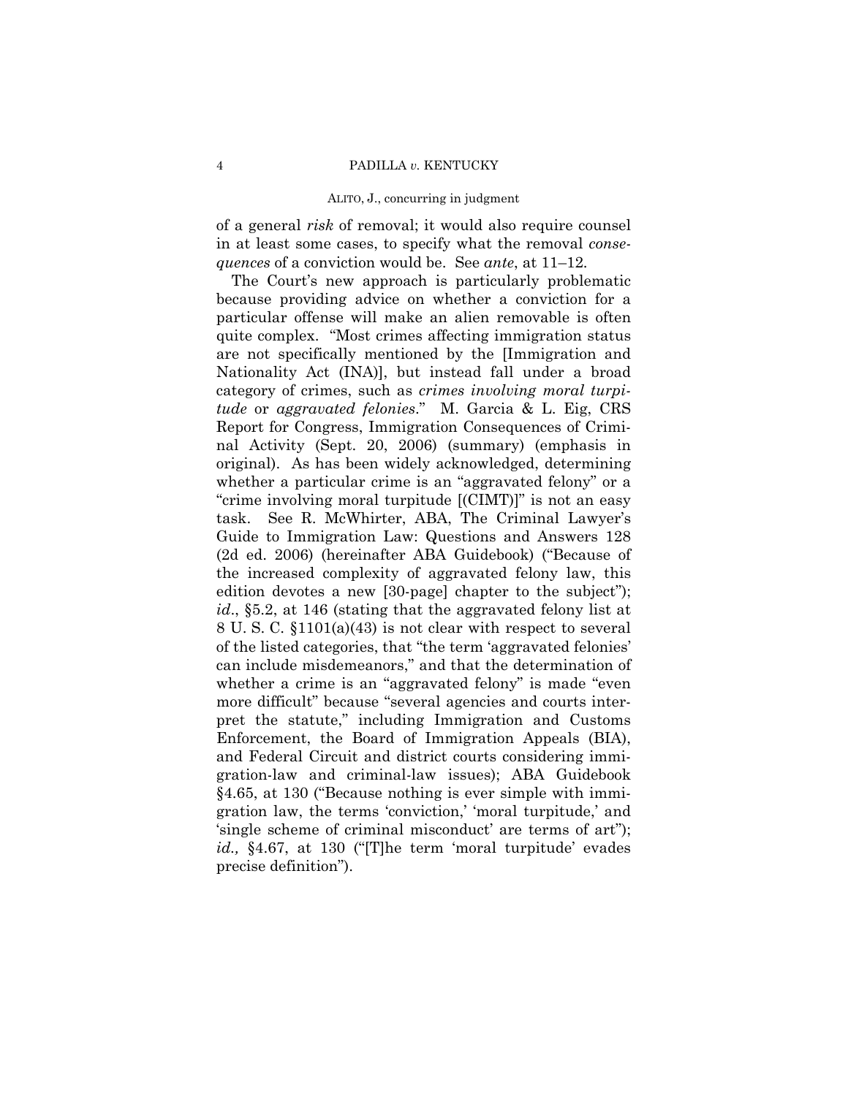of a general *risk* of removal; it would also require counsel in at least some cases, to specify what the removal *consequences* of a conviction would be. See *ante*, at 11–12*.* 

The Court's new approach is particularly problematic because providing advice on whether a conviction for a particular offense will make an alien removable is often quite complex. "Most crimes affecting immigration status are not specifically mentioned by the [Immigration and Nationality Act (INA)], but instead fall under a broad category of crimes, such as *crimes involving moral turpitude* or *aggravated felonies*." M. Garcia & L. Eig, CRS Report for Congress, Immigration Consequences of Criminal Activity (Sept. 20, 2006) (summary) (emphasis in original). As has been widely acknowledged, determining whether a particular crime is an "aggravated felony" or a "crime involving moral turpitude [(CIMT)]" is not an easy task. See R. McWhirter, ABA, The Criminal Lawyer's Guide to Immigration Law: Questions and Answers 128 (2d ed. 2006) (hereinafter ABA Guidebook) ("Because of the increased complexity of aggravated felony law, this edition devotes a new [30-page] chapter to the subject"); *id*., §5.2, at 146 (stating that the aggravated felony list at 8 U. S. C. §1101(a)(43) is not clear with respect to several of the listed categories, that "the term 'aggravated felonies' can include misdemeanors," and that the determination of whether a crime is an "aggravated felony" is made "even more difficult" because "several agencies and courts interpret the statute," including Immigration and Customs Enforcement, the Board of Immigration Appeals (BIA), and Federal Circuit and district courts considering immigration-law and criminal-law issues); ABA Guidebook §4.65, at 130 ("Because nothing is ever simple with immigration law, the terms 'conviction,' 'moral turpitude,' and 'single scheme of criminal misconduct' are terms of art"); *id.,* §4.67, at 130 ("[T]he term 'moral turpitude' evades precise definition").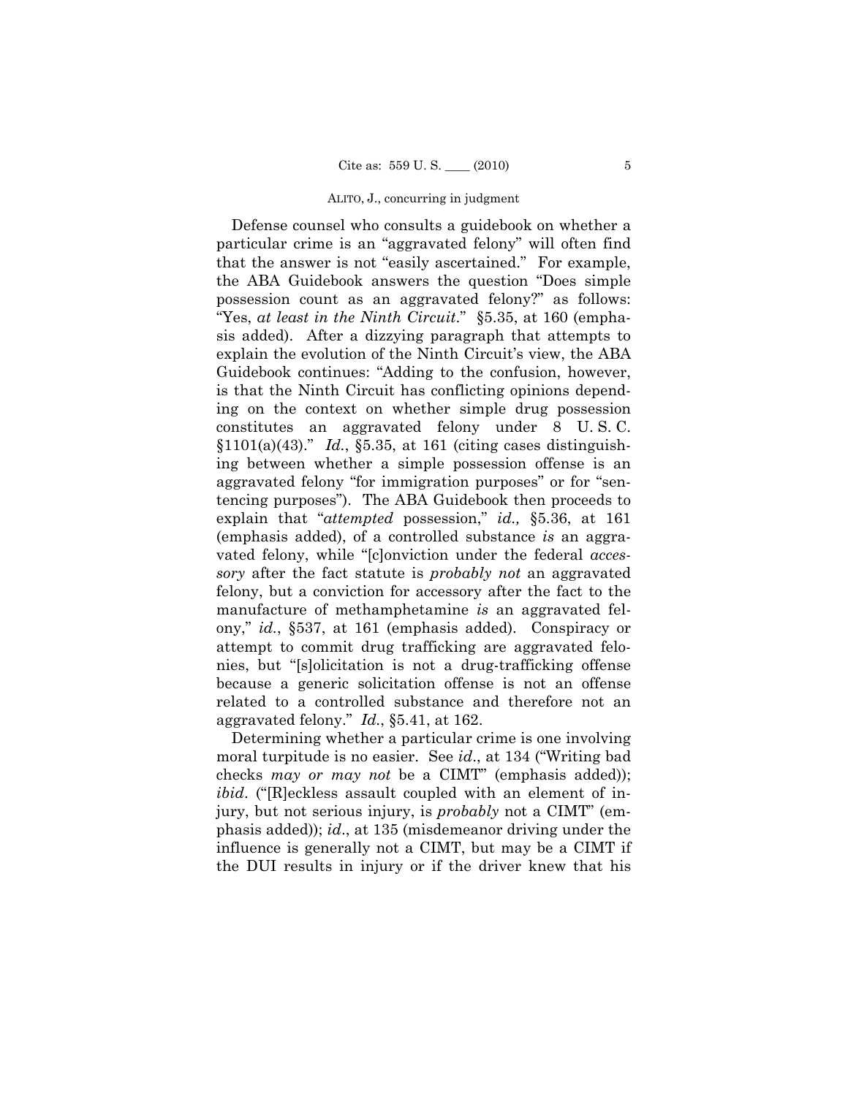Defense counsel who consults a guidebook on whether a particular crime is an "aggravated felony" will often find that the answer is not "easily ascertained." For example, the ABA Guidebook answers the question "Does simple possession count as an aggravated felony?" as follows: "Yes, *at least in the Ninth Circuit*." §5.35, at 160 (emphasis added). After a dizzying paragraph that attempts to explain the evolution of the Ninth Circuit's view, the ABA Guidebook continues: "Adding to the confusion, however, is that the Ninth Circuit has conflicting opinions depending on the context on whether simple drug possession constitutes an aggravated felony under 8 U. S. C. §1101(a)(43)." *Id.*, §5.35, at 161 (citing cases distinguishing between whether a simple possession offense is an aggravated felony "for immigration purposes" or for "sentencing purposes"). The ABA Guidebook then proceeds to explain that "*attempted* possession," *id.,* §5.36, at 161 (emphasis added), of a controlled substance *is* an aggravated felony, while "[c]onviction under the federal *accessory* after the fact statute is *probably not* an aggravated felony, but a conviction for accessory after the fact to the manufacture of methamphetamine *is* an aggravated felony," *id.*, §537, at 161 (emphasis added). Conspiracy or attempt to commit drug trafficking are aggravated felonies, but "[s]olicitation is not a drug-trafficking offense because a generic solicitation offense is not an offense related to a controlled substance and therefore not an aggravated felony." *Id.*, §5.41, at 162.

Determining whether a particular crime is one involving moral turpitude is no easier. See *id*., at 134 ("Writing bad checks *may or may not* be a CIMT" (emphasis added)); *ibid.* ("Reckless assault coupled with an element of injury, but not serious injury, is *probably* not a CIMT" (emphasis added)); *id*., at 135 (misdemeanor driving under the influence is generally not a CIMT, but may be a CIMT if the DUI results in injury or if the driver knew that his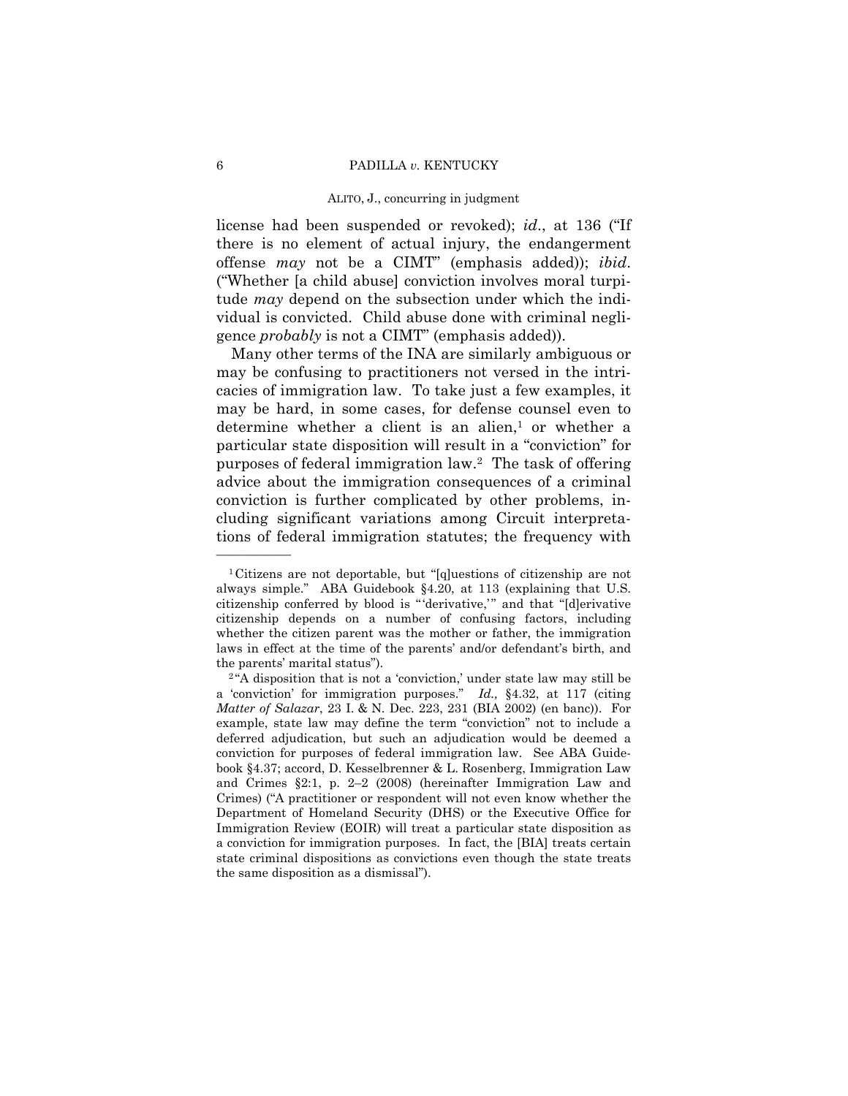license had been suspended or revoked); *id*., at 136 ("If there is no element of actual injury, the endangerment offense *may* not be a CIMT" (emphasis added)); *ibid*. ("Whether [a child abuse] conviction involves moral turpitude *may* depend on the subsection under which the individual is convicted. Child abuse done with criminal negligence *probably* is not a CIMT" (emphasis added)).

Many other terms of the INA are similarly ambiguous or may be confusing to practitioners not versed in the intricacies of immigration law. To take just a few examples, it may be hard, in some cases, for defense counsel even to determine whether a client is an alien, $<sup>1</sup>$  or whether a</sup> particular state disposition will result in a "conviction" for purposes of federal immigration law.2 The task of offering advice about the immigration consequences of a criminal conviction is further complicated by other problems, including significant variations among Circuit interpretations of federal immigration statutes; the frequency with

<sup>1</sup>Citizens are not deportable, but "[q]uestions of citizenship are not always simple." ABA Guidebook §4.20, at 113 (explaining that U.S. citizenship conferred by blood is "'derivative,'" and that "[d]erivative citizenship depends on a number of confusing factors, including whether the citizen parent was the mother or father, the immigration laws in effect at the time of the parents' and/or defendant's birth, and the parents' marital status").

<sup>2</sup> "A disposition that is not a 'conviction,' under state law may still be a 'conviction' for immigration purposes." *Id.,* §4.32, at 117 (citing *Matter of Salazar*, 23 I. & N. Dec. 223, 231 (BIA 2002) (en banc)). For example, state law may define the term "conviction" not to include a deferred adjudication, but such an adjudication would be deemed a conviction for purposes of federal immigration law. See ABA Guidebook §4.37; accord, D. Kesselbrenner & L. Rosenberg, Immigration Law and Crimes §2:1, p. 2–2 (2008) (hereinafter Immigration Law and Crimes) ("A practitioner or respondent will not even know whether the Department of Homeland Security (DHS) or the Executive Office for Immigration Review (EOIR) will treat a particular state disposition as a conviction for immigration purposes. In fact, the [BIA] treats certain state criminal dispositions as convictions even though the state treats the same disposition as a dismissal").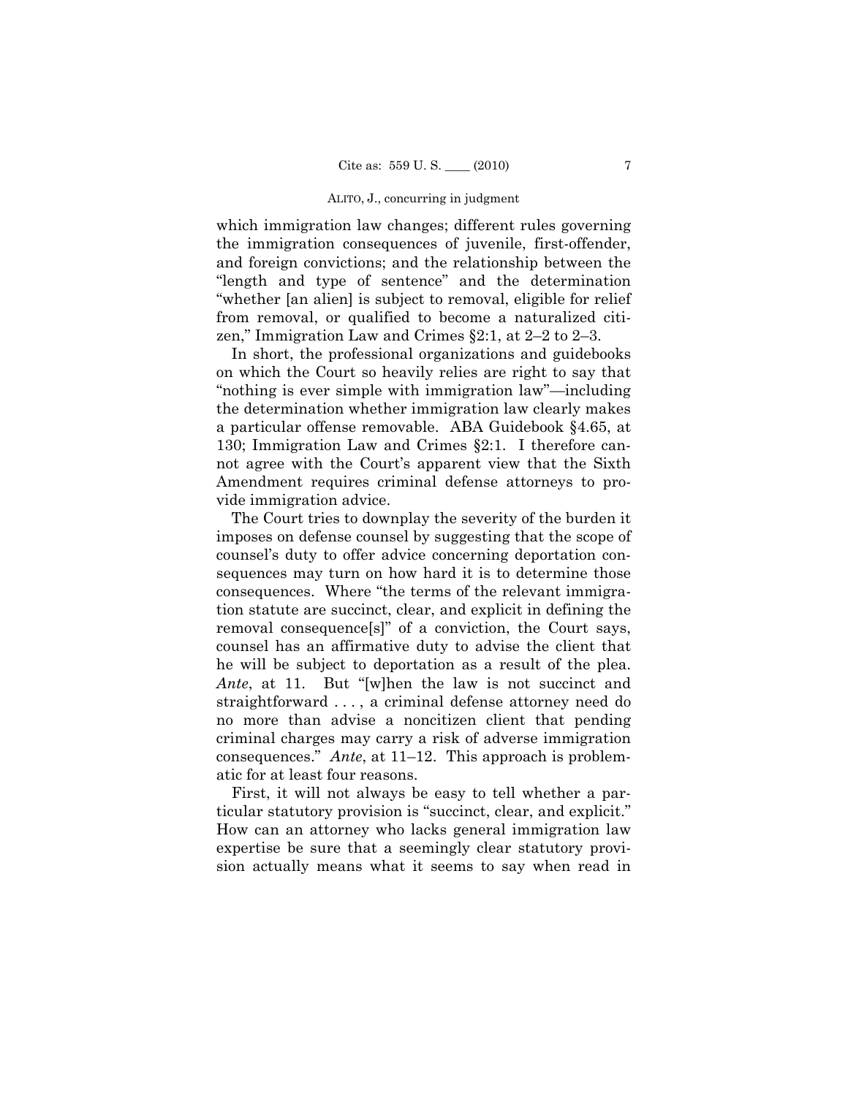which immigration law changes; different rules governing the immigration consequences of juvenile, first-offender, and foreign convictions; and the relationship between the "length and type of sentence" and the determination "whether [an alien] is subject to removal, eligible for relief from removal, or qualified to become a naturalized citizen," Immigration Law and Crimes §2:1, at 2–2 to 2–3.

In short, the professional organizations and guidebooks on which the Court so heavily relies are right to say that "nothing is ever simple with immigration law"—including the determination whether immigration law clearly makes a particular offense removable. ABA Guidebook §4.65, at 130; Immigration Law and Crimes §2:1. I therefore cannot agree with the Court's apparent view that the Sixth Amendment requires criminal defense attorneys to provide immigration advice.

The Court tries to downplay the severity of the burden it imposes on defense counsel by suggesting that the scope of counsel's duty to offer advice concerning deportation consequences may turn on how hard it is to determine those consequences. Where "the terms of the relevant immigration statute are succinct, clear, and explicit in defining the removal consequence[s]" of a conviction, the Court says, counsel has an affirmative duty to advise the client that he will be subject to deportation as a result of the plea. *Ante*, at 11. But "[w]hen the law is not succinct and straightforward . . . , a criminal defense attorney need do no more than advise a noncitizen client that pending criminal charges may carry a risk of adverse immigration consequences." *Ante*, at 11–12. This approach is problematic for at least four reasons.

First, it will not always be easy to tell whether a particular statutory provision is "succinct, clear, and explicit." How can an attorney who lacks general immigration law expertise be sure that a seemingly clear statutory provision actually means what it seems to say when read in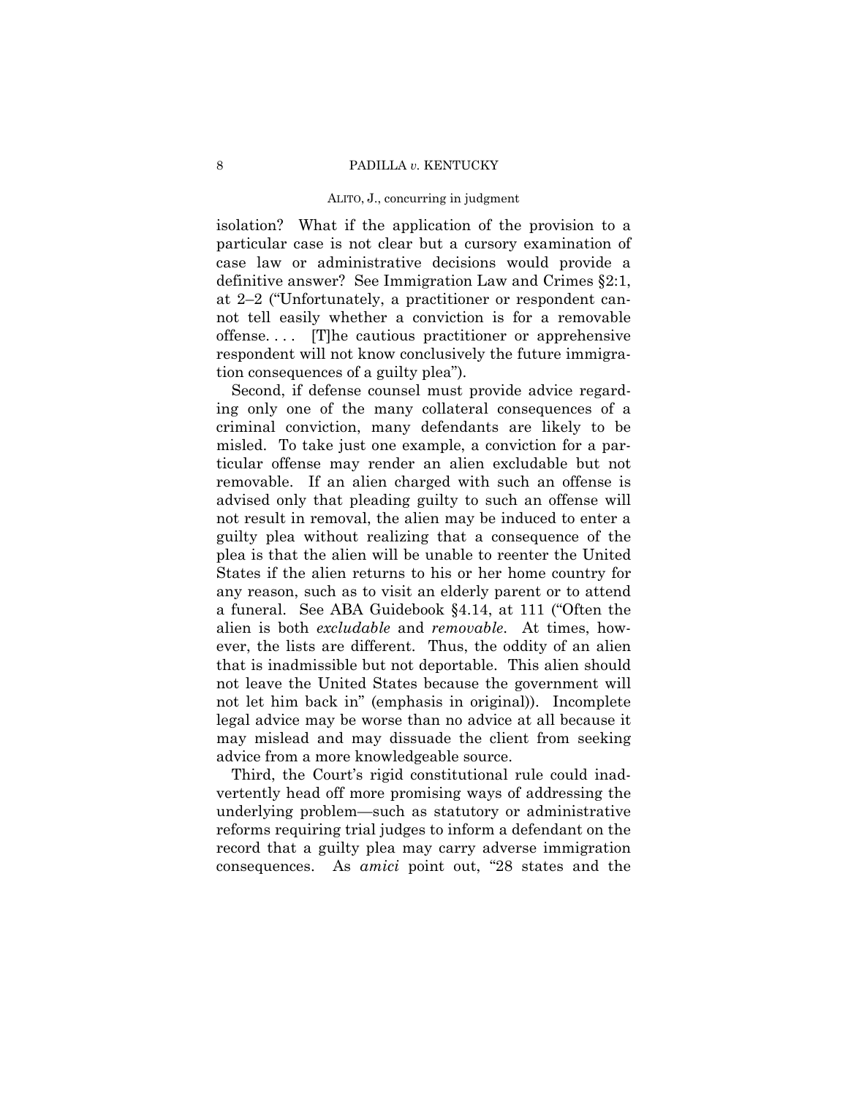isolation? What if the application of the provision to a particular case is not clear but a cursory examination of case law or administrative decisions would provide a definitive answer? See Immigration Law and Crimes §2:1, at 2–2 ("Unfortunately, a practitioner or respondent cannot tell easily whether a conviction is for a removable offense. . . . [T]he cautious practitioner or apprehensive respondent will not know conclusively the future immigration consequences of a guilty plea").

Second, if defense counsel must provide advice regarding only one of the many collateral consequences of a criminal conviction, many defendants are likely to be misled. To take just one example, a conviction for a particular offense may render an alien excludable but not removable. If an alien charged with such an offense is advised only that pleading guilty to such an offense will not result in removal, the alien may be induced to enter a guilty plea without realizing that a consequence of the plea is that the alien will be unable to reenter the United States if the alien returns to his or her home country for any reason, such as to visit an elderly parent or to attend a funeral. See ABA Guidebook §4.14, at 111 ("Often the alien is both *excludable* and *removable*. At times, however, the lists are different. Thus, the oddity of an alien that is inadmissible but not deportable. This alien should not leave the United States because the government will not let him back in" (emphasis in original)). Incomplete legal advice may be worse than no advice at all because it may mislead and may dissuade the client from seeking advice from a more knowledgeable source.

Third, the Court's rigid constitutional rule could inadvertently head off more promising ways of addressing the underlying problem—such as statutory or administrative reforms requiring trial judges to inform a defendant on the record that a guilty plea may carry adverse immigration consequences. As *amici* point out, "28 states and the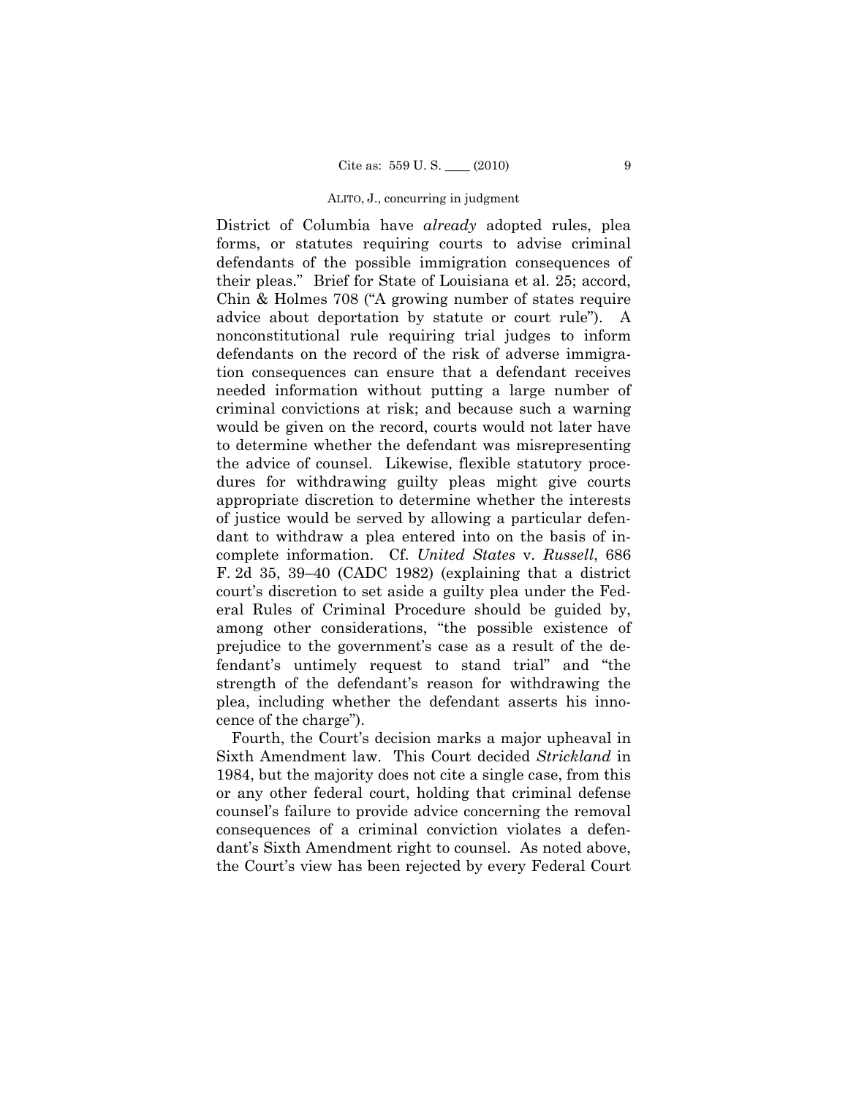District of Columbia have *already* adopted rules, plea forms, or statutes requiring courts to advise criminal defendants of the possible immigration consequences of their pleas." Brief for State of Louisiana et al. 25; accord, Chin & Holmes 708 ("A growing number of states require advice about deportation by statute or court rule"). A nonconstitutional rule requiring trial judges to inform defendants on the record of the risk of adverse immigration consequences can ensure that a defendant receives needed information without putting a large number of criminal convictions at risk; and because such a warning would be given on the record, courts would not later have to determine whether the defendant was misrepresenting the advice of counsel. Likewise, flexible statutory procedures for withdrawing guilty pleas might give courts appropriate discretion to determine whether the interests of justice would be served by allowing a particular defendant to withdraw a plea entered into on the basis of incomplete information. Cf. *United States* v. *Russell*, 686 F. 2d 35, 39–40 (CADC 1982) (explaining that a district court's discretion to set aside a guilty plea under the Federal Rules of Criminal Procedure should be guided by, among other considerations, "the possible existence of prejudice to the government's case as a result of the defendant's untimely request to stand trial" and "the strength of the defendant's reason for withdrawing the plea, including whether the defendant asserts his innocence of the charge").

Fourth, the Court's decision marks a major upheaval in Sixth Amendment law. This Court decided *Strickland* in 1984, but the majority does not cite a single case, from this or any other federal court, holding that criminal defense counsel's failure to provide advice concerning the removal consequences of a criminal conviction violates a defendant's Sixth Amendment right to counsel. As noted above, the Court's view has been rejected by every Federal Court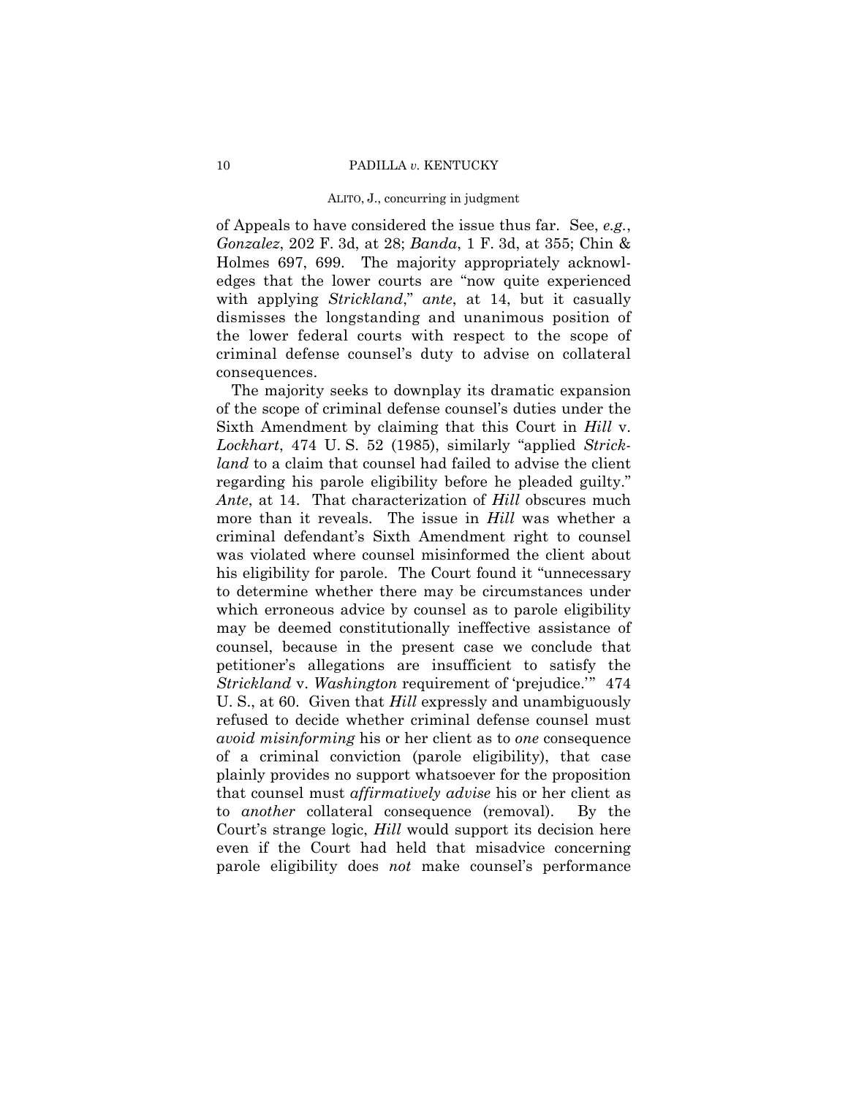of Appeals to have considered the issue thus far. See, *e.g.*, *Gonzalez*, 202 F. 3d, at 28; *Banda*, 1 F. 3d, at 355; Chin & Holmes 697, 699. The majority appropriately acknowledges that the lower courts are "now quite experienced with applying *Strickland*," *ante*, at 14, but it casually dismisses the longstanding and unanimous position of the lower federal courts with respect to the scope of criminal defense counsel's duty to advise on collateral consequences.

The majority seeks to downplay its dramatic expansion of the scope of criminal defense counsel's duties under the Sixth Amendment by claiming that this Court in *Hill* v. *Lockhart*, 474 U. S. 52 (1985), similarly "applied *Strickland* to a claim that counsel had failed to advise the client regarding his parole eligibility before he pleaded guilty." *Ante*, at 14. That characterization of *Hill* obscures much more than it reveals. The issue in *Hill* was whether a criminal defendant's Sixth Amendment right to counsel was violated where counsel misinformed the client about his eligibility for parole. The Court found it "unnecessary to determine whether there may be circumstances under which erroneous advice by counsel as to parole eligibility may be deemed constitutionally ineffective assistance of counsel, because in the present case we conclude that petitioner's allegations are insufficient to satisfy the *Strickland* v. *Washington* requirement of 'prejudice.'" 474 U. S., at 60. Given that *Hill* expressly and unambiguously refused to decide whether criminal defense counsel must *avoid misinforming* his or her client as to *one* consequence of a criminal conviction (parole eligibility), that case plainly provides no support whatsoever for the proposition that counsel must *affirmatively advise* his or her client as to *another* collateral consequence (removal). By the Court's strange logic, *Hill* would support its decision here even if the Court had held that misadvice concerning parole eligibility does *not* make counsel's performance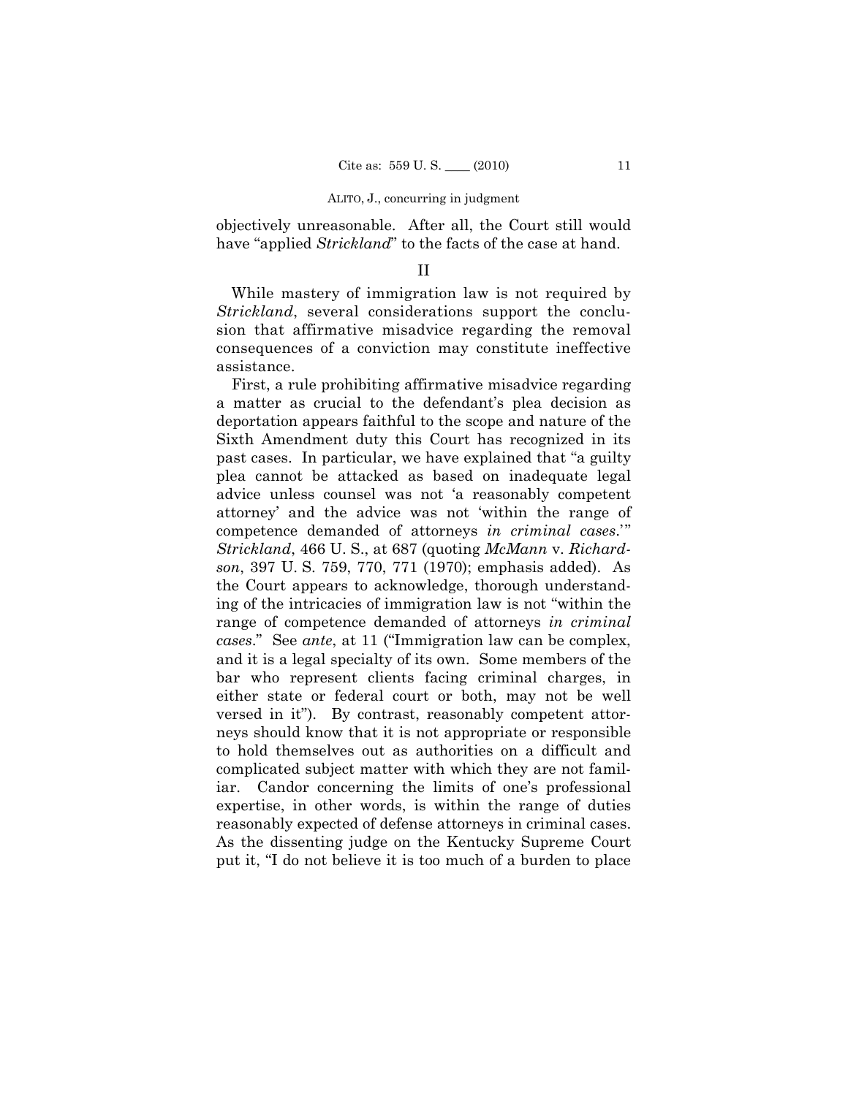objectively unreasonable. After all, the Court still would have "applied *Strickland*" to the facts of the case at hand.

## II

While mastery of immigration law is not required by *Strickland*, several considerations support the conclusion that affirmative misadvice regarding the removal consequences of a conviction may constitute ineffective assistance.

First, a rule prohibiting affirmative misadvice regarding a matter as crucial to the defendant's plea decision as deportation appears faithful to the scope and nature of the Sixth Amendment duty this Court has recognized in its past cases. In particular, we have explained that "a guilty plea cannot be attacked as based on inadequate legal advice unless counsel was not 'a reasonably competent attorney' and the advice was not 'within the range of competence demanded of attorneys *in criminal cases*.'" *Strickland*, 466 U. S., at 687 (quoting *McMann* v. *Richardson*, 397 U. S. 759, 770, 771 (1970); emphasis added). As the Court appears to acknowledge, thorough understanding of the intricacies of immigration law is not "within the range of competence demanded of attorneys *in criminal cases*." See *ante*, at 11 ("Immigration law can be complex, and it is a legal specialty of its own. Some members of the bar who represent clients facing criminal charges, in either state or federal court or both, may not be well versed in it"). By contrast, reasonably competent attorneys should know that it is not appropriate or responsible to hold themselves out as authorities on a difficult and complicated subject matter with which they are not familiar. Candor concerning the limits of one's professional expertise, in other words, is within the range of duties reasonably expected of defense attorneys in criminal cases. As the dissenting judge on the Kentucky Supreme Court put it, "I do not believe it is too much of a burden to place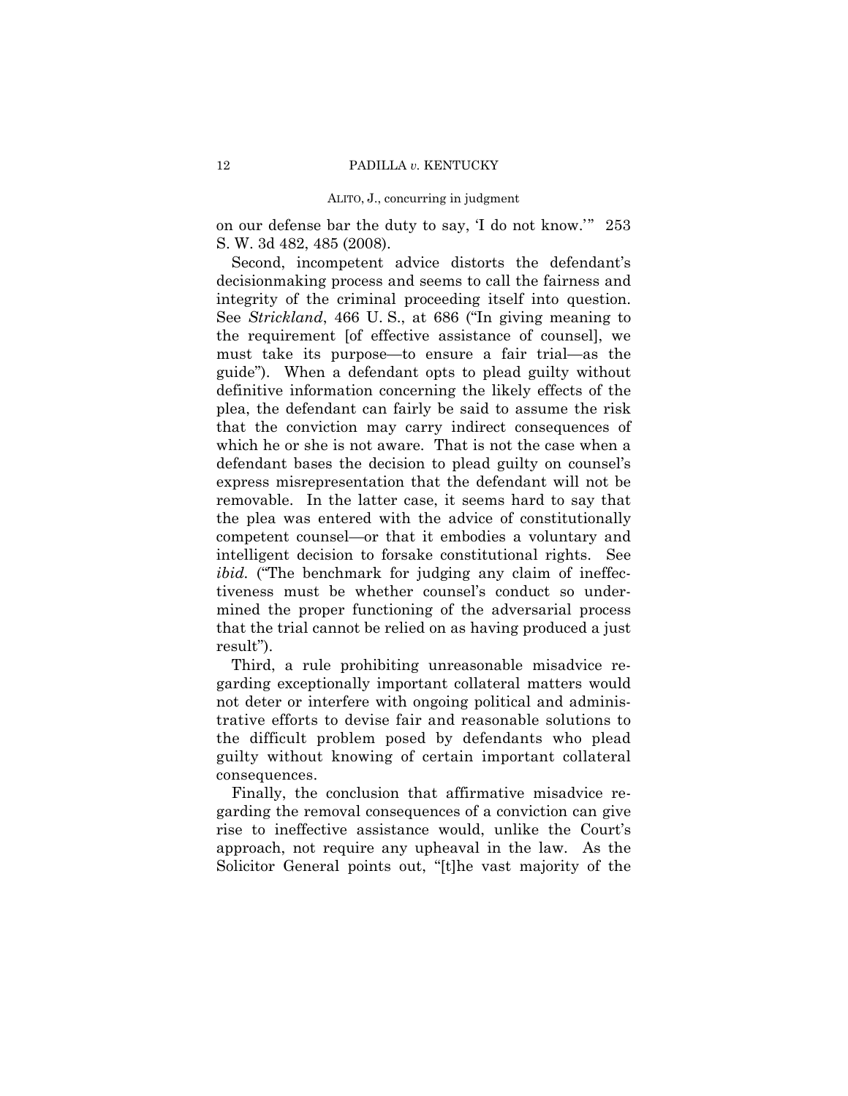on our defense bar the duty to say, 'I do not know.'" 253 S. W. 3d 482, 485 (2008).

Second, incompetent advice distorts the defendant's decisionmaking process and seems to call the fairness and integrity of the criminal proceeding itself into question. See *Strickland*, 466 U. S., at 686 ("In giving meaning to the requirement [of effective assistance of counsel], we must take its purpose—to ensure a fair trial—as the guide"). When a defendant opts to plead guilty without definitive information concerning the likely effects of the plea, the defendant can fairly be said to assume the risk that the conviction may carry indirect consequences of which he or she is not aware. That is not the case when a defendant bases the decision to plead guilty on counsel's express misrepresentation that the defendant will not be removable. In the latter case, it seems hard to say that the plea was entered with the advice of constitutionally competent counsel—or that it embodies a voluntary and intelligent decision to forsake constitutional rights. See *ibid.* ("The benchmark for judging any claim of ineffectiveness must be whether counsel's conduct so undermined the proper functioning of the adversarial process that the trial cannot be relied on as having produced a just result").

Third, a rule prohibiting unreasonable misadvice regarding exceptionally important collateral matters would not deter or interfere with ongoing political and administrative efforts to devise fair and reasonable solutions to the difficult problem posed by defendants who plead guilty without knowing of certain important collateral consequences.

Finally, the conclusion that affirmative misadvice regarding the removal consequences of a conviction can give rise to ineffective assistance would, unlike the Court's approach, not require any upheaval in the law. As the Solicitor General points out, "[t]he vast majority of the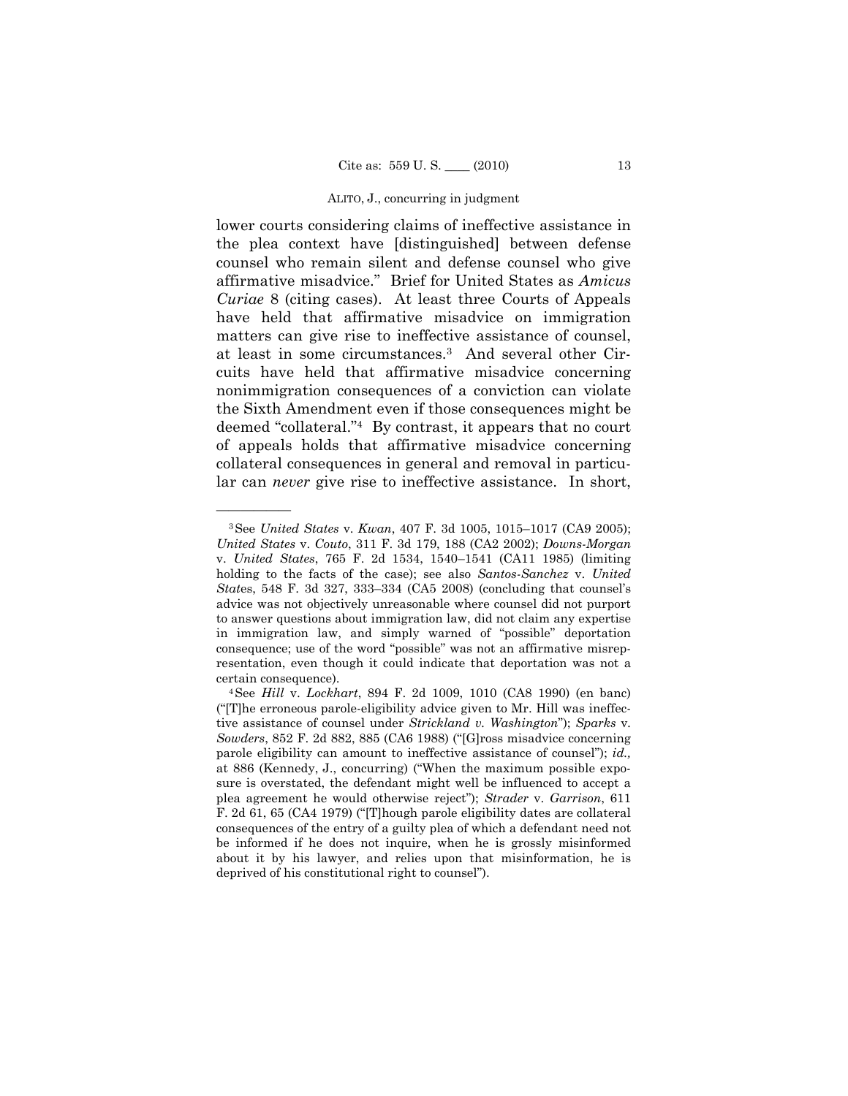lower courts considering claims of ineffective assistance in the plea context have [distinguished] between defense counsel who remain silent and defense counsel who give affirmative misadvice." Brief for United States as *Amicus Curiae* 8 (citing cases). At least three Courts of Appeals have held that affirmative misadvice on immigration matters can give rise to ineffective assistance of counsel, at least in some circumstances.3 And several other Circuits have held that affirmative misadvice concerning nonimmigration consequences of a conviction can violate the Sixth Amendment even if those consequences might be deemed "collateral."4 By contrast, it appears that no court of appeals holds that affirmative misadvice concerning collateral consequences in general and removal in particular can *never* give rise to ineffective assistance. In short,

<sup>3</sup>See *United States* v. *Kwan*, 407 F. 3d 1005, 1015–1017 (CA9 2005); *United States* v. *Couto*, 311 F. 3d 179, 188 (CA2 2002); *Downs-Morgan* v. *United States*, 765 F. 2d 1534, 1540–1541 (CA11 1985) (limiting holding to the facts of the case); see also *Santos-Sanchez* v. *United Stat*es, 548 F. 3d 327, 333–334 (CA5 2008) (concluding that counsel's advice was not objectively unreasonable where counsel did not purport to answer questions about immigration law, did not claim any expertise in immigration law, and simply warned of "possible" deportation consequence; use of the word "possible" was not an affirmative misrepresentation, even though it could indicate that deportation was not a certain consequence). 4See *Hill* v. *Lockhart*, 894 F. 2d 1009, 1010 (CA8 1990) (en banc)

<sup>(&</sup>quot;[T]he erroneous parole-eligibility advice given to Mr. Hill was ineffective assistance of counsel under *Strickland v. Washington*"); *Sparks* v*. Sowders*, 852 F. 2d 882, 885 (CA6 1988) ("[G]ross misadvice concerning parole eligibility can amount to ineffective assistance of counsel"); *id.,* at 886 (Kennedy, J., concurring) ("When the maximum possible exposure is overstated, the defendant might well be influenced to accept a plea agreement he would otherwise reject"); *Strader* v. *Garrison*, 611 F. 2d 61, 65 (CA4 1979) ("[T]hough parole eligibility dates are collateral consequences of the entry of a guilty plea of which a defendant need not be informed if he does not inquire, when he is grossly misinformed about it by his lawyer, and relies upon that misinformation, he is deprived of his constitutional right to counsel").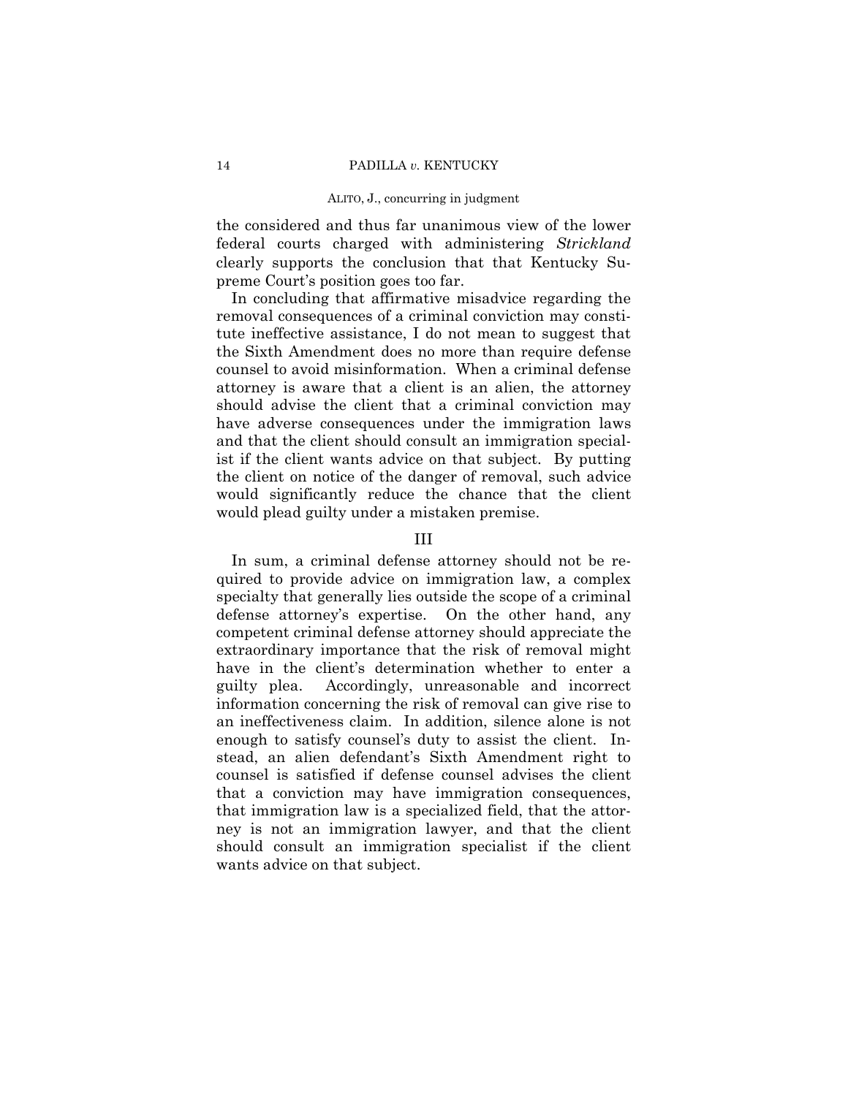the considered and thus far unanimous view of the lower federal courts charged with administering *Strickland*  clearly supports the conclusion that that Kentucky Supreme Court's position goes too far.

In concluding that affirmative misadvice regarding the removal consequences of a criminal conviction may constitute ineffective assistance, I do not mean to suggest that the Sixth Amendment does no more than require defense counsel to avoid misinformation. When a criminal defense attorney is aware that a client is an alien, the attorney should advise the client that a criminal conviction may have adverse consequences under the immigration laws and that the client should consult an immigration specialist if the client wants advice on that subject. By putting the client on notice of the danger of removal, such advice would significantly reduce the chance that the client would plead guilty under a mistaken premise.

## III

In sum, a criminal defense attorney should not be required to provide advice on immigration law, a complex specialty that generally lies outside the scope of a criminal defense attorney's expertise. On the other hand, any competent criminal defense attorney should appreciate the extraordinary importance that the risk of removal might have in the client's determination whether to enter a guilty plea. Accordingly, unreasonable and incorrect information concerning the risk of removal can give rise to an ineffectiveness claim. In addition, silence alone is not enough to satisfy counsel's duty to assist the client. Instead, an alien defendant's Sixth Amendment right to counsel is satisfied if defense counsel advises the client that a conviction may have immigration consequences, that immigration law is a specialized field, that the attorney is not an immigration lawyer, and that the client should consult an immigration specialist if the client wants advice on that subject.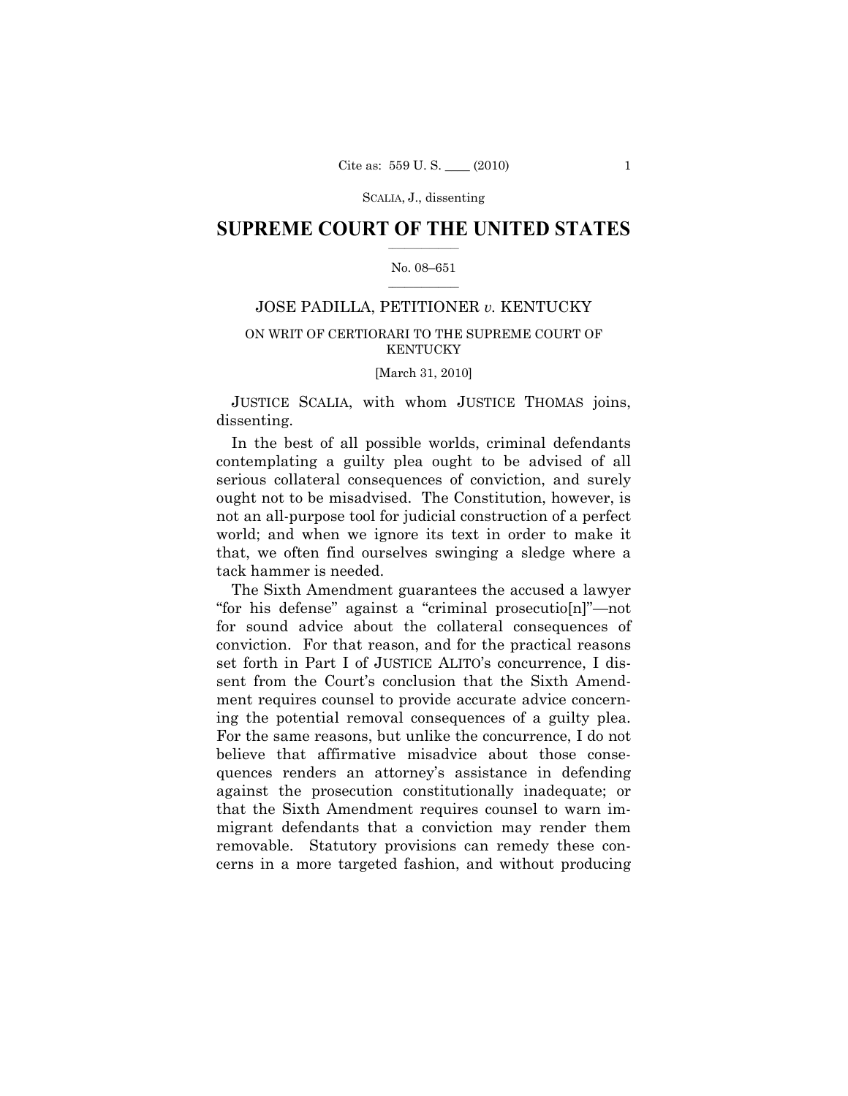## $\frac{1}{2}$  , where  $\frac{1}{2}$ **SUPREME COURT OF THE UNITED STATES**

### $\frac{1}{2}$  ,  $\frac{1}{2}$  ,  $\frac{1}{2}$  ,  $\frac{1}{2}$  ,  $\frac{1}{2}$  ,  $\frac{1}{2}$ No. 08–651

## JOSE PADILLA, PETITIONER *v.* KENTUCKY

## ON WRIT OF CERTIORARI TO THE SUPREME COURT OF KENTUCKY

#### [March 31, 2010]

JUSTICE SCALIA, with whom JUSTICE THOMAS joins, dissenting.

In the best of all possible worlds, criminal defendants contemplating a guilty plea ought to be advised of all serious collateral consequences of conviction, and surely ought not to be misadvised. The Constitution, however, is not an all-purpose tool for judicial construction of a perfect world; and when we ignore its text in order to make it that, we often find ourselves swinging a sledge where a tack hammer is needed.

The Sixth Amendment guarantees the accused a lawyer "for his defense" against a "criminal prosecutio[n]"—not for sound advice about the collateral consequences of conviction. For that reason, and for the practical reasons set forth in Part I of JUSTICE ALITO's concurrence, I dissent from the Court's conclusion that the Sixth Amendment requires counsel to provide accurate advice concerning the potential removal consequences of a guilty plea. For the same reasons, but unlike the concurrence, I do not believe that affirmative misadvice about those consequences renders an attorney's assistance in defending against the prosecution constitutionally inadequate; or that the Sixth Amendment requires counsel to warn immigrant defendants that a conviction may render them removable. Statutory provisions can remedy these concerns in a more targeted fashion, and without producing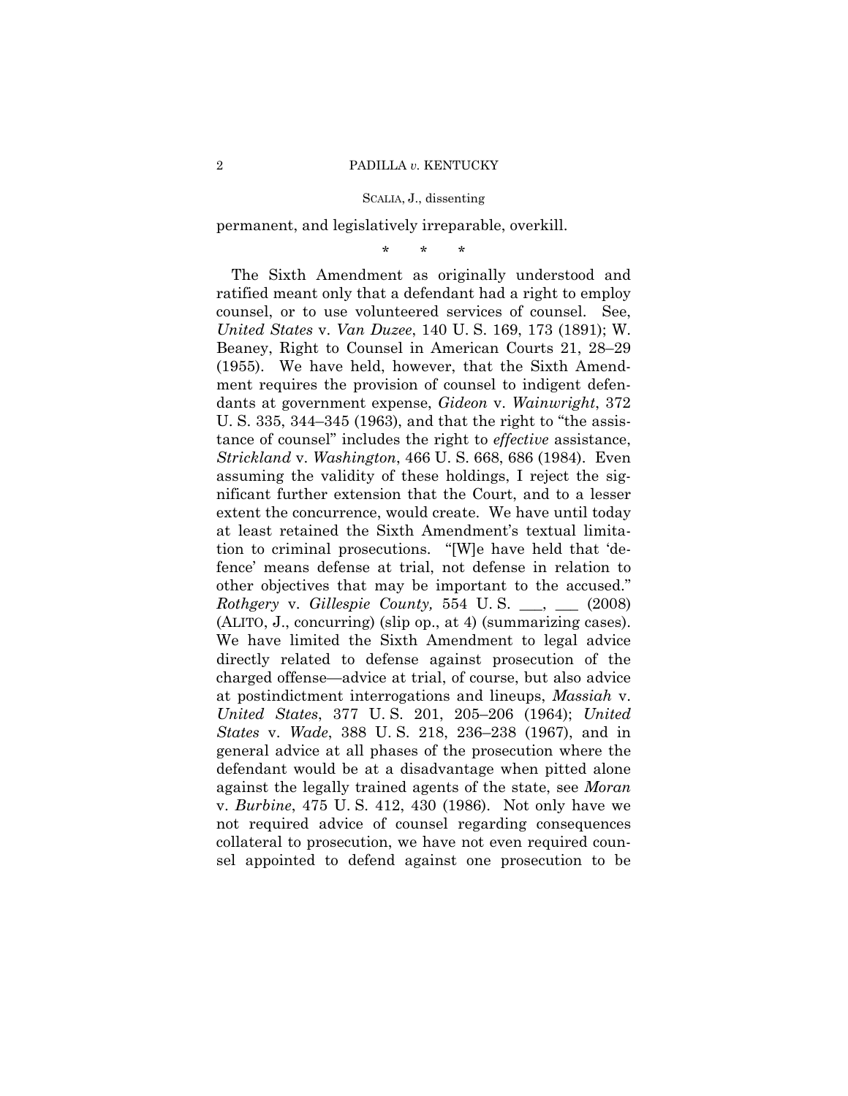permanent, and legislatively irreparable, overkill.

\* \* \*

The Sixth Amendment as originally understood and ratified meant only that a defendant had a right to employ counsel, or to use volunteered services of counsel. See, *United States* v. *Van Duzee*, 140 U. S. 169, 173 (1891); W. Beaney, Right to Counsel in American Courts 21, 28–29 (1955). We have held, however, that the Sixth Amendment requires the provision of counsel to indigent defendants at government expense, *Gideon* v. *Wainwright*, 372 U. S. 335, 344–345 (1963), and that the right to "the assistance of counsel" includes the right to *effective* assistance, *Strickland* v. *Washington*, 466 U. S. 668, 686 (1984). Even assuming the validity of these holdings, I reject the significant further extension that the Court, and to a lesser extent the concurrence, would create. We have until today at least retained the Sixth Amendment's textual limitation to criminal prosecutions. "[W]e have held that 'defence' means defense at trial, not defense in relation to other objectives that may be important to the accused." *Rothgery* v. *Gillespie County,* 554 U. S. \_\_\_, \_\_\_ (2008) (ALITO, J., concurring) (slip op., at 4) (summarizing cases). We have limited the Sixth Amendment to legal advice directly related to defense against prosecution of the charged offense—advice at trial, of course, but also advice at postindictment interrogations and lineups, *Massiah* v. *United States*, 377 U. S. 201, 205–206 (1964); *United States* v. *Wade*, 388 U. S. 218, 236–238 (1967), and in general advice at all phases of the prosecution where the defendant would be at a disadvantage when pitted alone against the legally trained agents of the state, see *Moran*  v. *Burbine*, 475 U. S. 412, 430 (1986). Not only have we not required advice of counsel regarding consequences collateral to prosecution, we have not even required counsel appointed to defend against one prosecution to be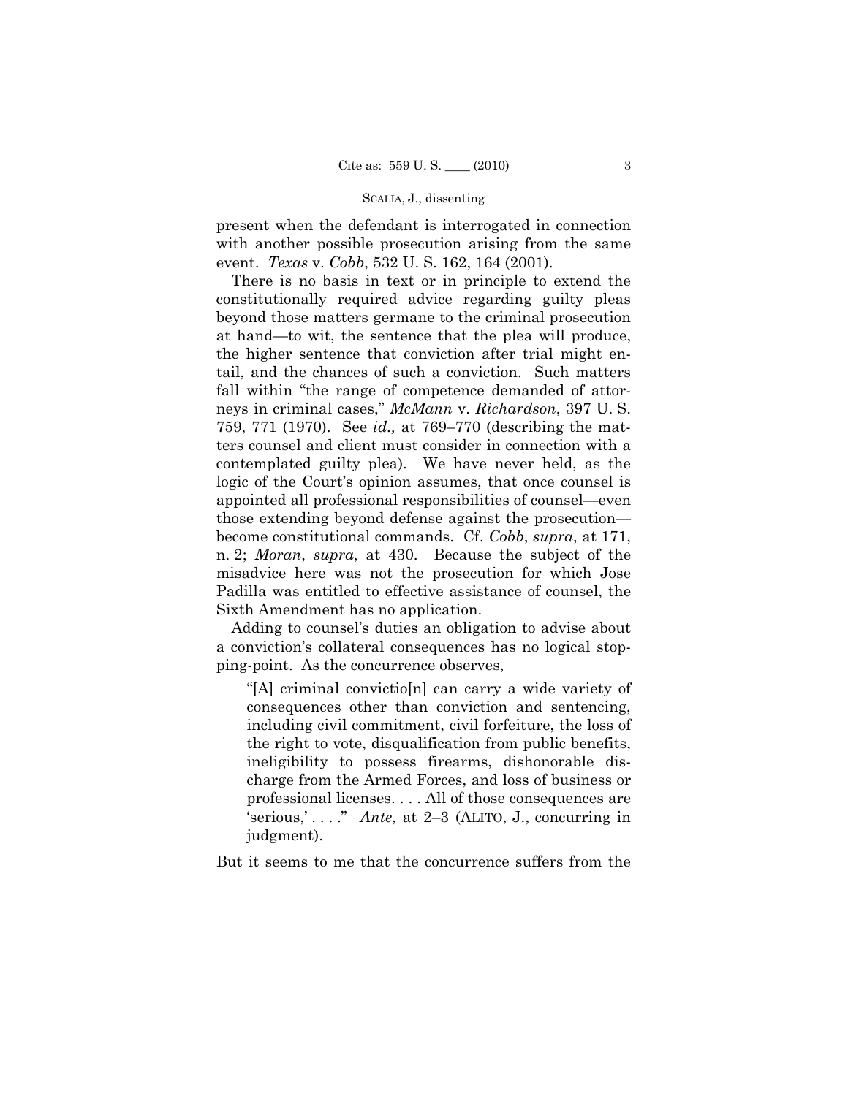present when the defendant is interrogated in connection with another possible prosecution arising from the same event. *Texas* v. *Cobb*, 532 U. S. 162, 164 (2001).

There is no basis in text or in principle to extend the constitutionally required advice regarding guilty pleas beyond those matters germane to the criminal prosecution at hand—to wit, the sentence that the plea will produce, the higher sentence that conviction after trial might entail, and the chances of such a conviction. Such matters fall within "the range of competence demanded of attorneys in criminal cases," *McMann* v. *Richardson*, 397 U. S. 759, 771 (1970). See *id.,* at 769–770 (describing the matters counsel and client must consider in connection with a contemplated guilty plea). We have never held, as the logic of the Court's opinion assumes, that once counsel is appointed all professional responsibilities of counsel—even those extending beyond defense against the prosecution become constitutional commands. Cf. *Cobb*, *supra*, at 171, n. 2; *Moran*, *supra*, at 430. Because the subject of the misadvice here was not the prosecution for which Jose Padilla was entitled to effective assistance of counsel, the Sixth Amendment has no application.

Adding to counsel's duties an obligation to advise about a conviction's collateral consequences has no logical stopping-point. As the concurrence observes,

"[A] criminal convictio[n] can carry a wide variety of consequences other than conviction and sentencing, including civil commitment, civil forfeiture, the loss of the right to vote, disqualification from public benefits, ineligibility to possess firearms, dishonorable discharge from the Armed Forces, and loss of business or professional licenses. . . . All of those consequences are 'serious,' . . . ." *Ante*, at 2–3 (ALITO, J., concurring in judgment).

But it seems to me that the concurrence suffers from the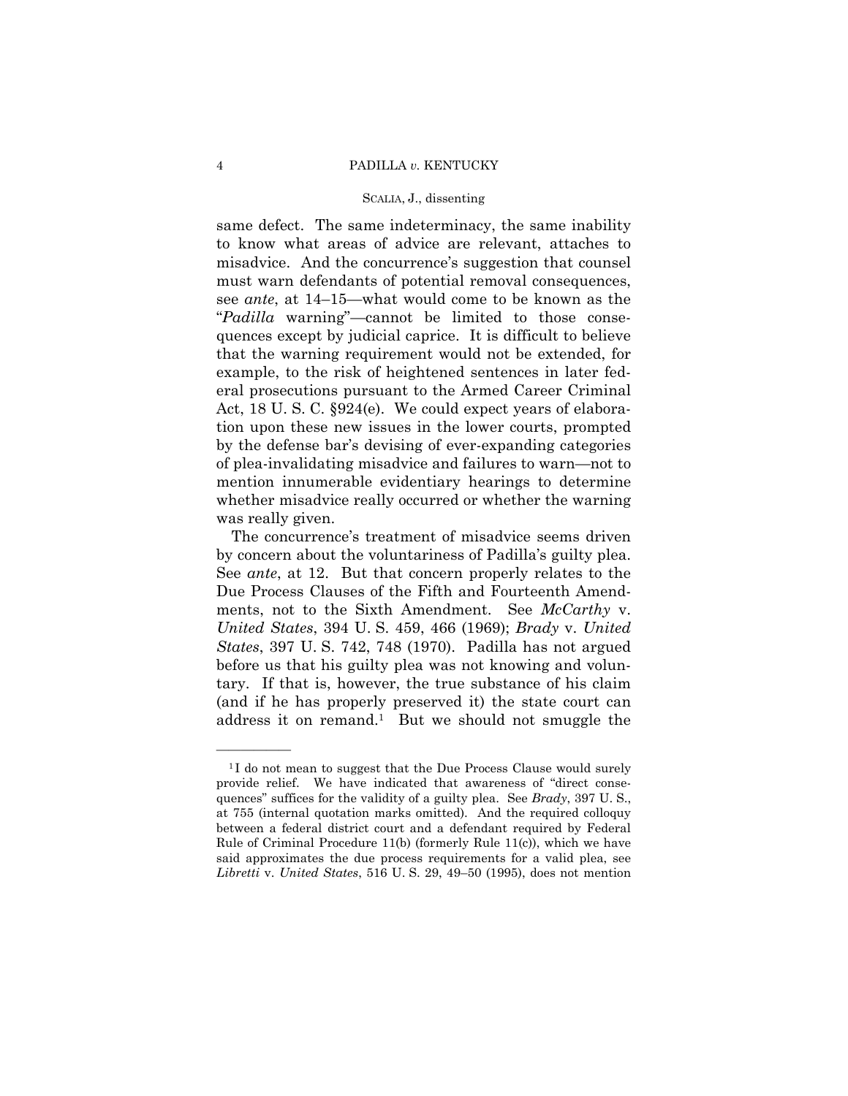#### SCALIA, J., dissenting

same defect. The same indeterminacy, the same inability to know what areas of advice are relevant, attaches to misadvice. And the concurrence's suggestion that counsel must warn defendants of potential removal consequences, see *ante*, at 14–15—what would come to be known as the "*Padilla* warning"—cannot be limited to those consequences except by judicial caprice. It is difficult to believe that the warning requirement would not be extended, for example, to the risk of heightened sentences in later federal prosecutions pursuant to the Armed Career Criminal Act, 18 U. S. C. §924(e). We could expect years of elaboration upon these new issues in the lower courts, prompted by the defense bar's devising of ever-expanding categories of plea-invalidating misadvice and failures to warn—not to mention innumerable evidentiary hearings to determine whether misadvice really occurred or whether the warning was really given.

The concurrence's treatment of misadvice seems driven by concern about the voluntariness of Padilla's guilty plea. See *ante*, at 12. But that concern properly relates to the Due Process Clauses of the Fifth and Fourteenth Amendments, not to the Sixth Amendment. See *McCarthy* v. *United States*, 394 U. S. 459, 466 (1969); *Brady* v. *United States*, 397 U. S. 742, 748 (1970). Padilla has not argued before us that his guilty plea was not knowing and voluntary. If that is, however, the true substance of his claim (and if he has properly preserved it) the state court can address it on remand.<sup>1</sup> But we should not smuggle the

<sup>&</sup>lt;sup>1</sup>I do not mean to suggest that the Due Process Clause would surely provide relief. We have indicated that awareness of "direct consequences" suffices for the validity of a guilty plea. See *Brady*, 397 U. S., at 755 (internal quotation marks omitted). And the required colloquy between a federal district court and a defendant required by Federal Rule of Criminal Procedure 11(b) (formerly Rule 11(c)), which we have said approximates the due process requirements for a valid plea, see *Libretti* v. *United States*, 516 U. S. 29, 49–50 (1995), does not mention